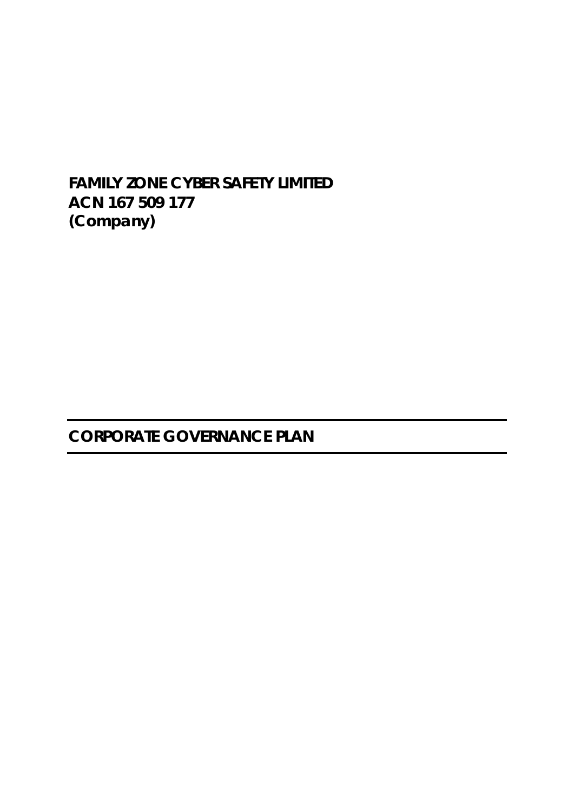# **FAMILY ZONE CYBER SAFETY LIMITED ACN 167 509 177 (Company)**

**CORPORATE GOVERNANCE PLAN**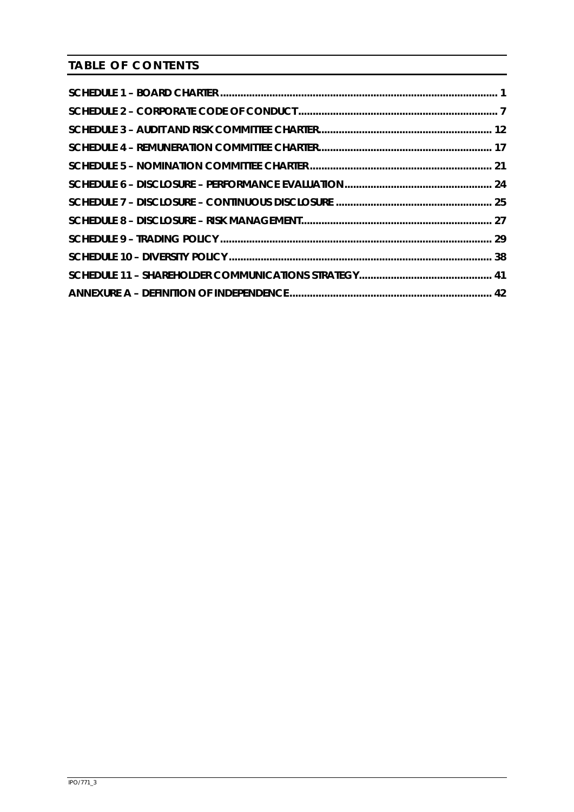**TABLE OF CONTENTS**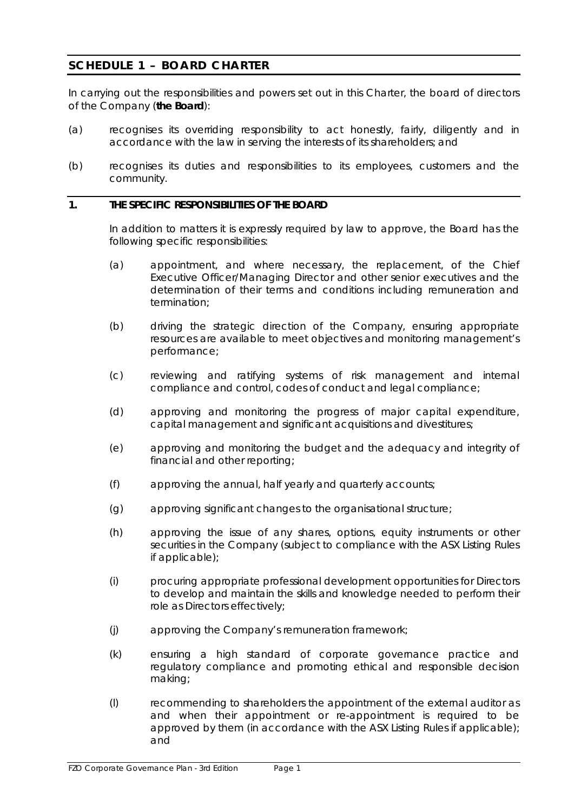# <span id="page-2-0"></span>**SCHEDULE 1 – BOARD CHARTER**

In carrying out the responsibilities and powers set out in this Charter, the board of directors of the Company (**the Board**):

- (a) recognises its overriding responsibility to act honestly, fairly, diligently and in accordance with the law in serving the interests of its shareholders; and
- (b) recognises its duties and responsibilities to its employees, customers and the community.

# **1. THE SPECIFIC RESPONSIBILITIES OF THE BOARD**

In addition to matters it is expressly required by law to approve, the Board has the following specific responsibilities:

- (a) appointment, and where necessary, the replacement, of the Chief Executive Officer/Managing Director and other senior executives and the determination of their terms and conditions including remuneration and termination;
- (b) driving the strategic direction of the Company, ensuring appropriate resources are available to meet objectives and monitoring management's performance;
- (c) reviewing and ratifying systems of risk management and internal compliance and control, codes of conduct and legal compliance;
- (d) approving and monitoring the progress of major capital expenditure, capital management and significant acquisitions and divestitures;
- (e) approving and monitoring the budget and the adequacy and integrity of financial and other reporting;
- (f) approving the annual, half yearly and quarterly accounts;
- (g) approving significant changes to the organisational structure;
- (h) approving the issue of any shares, options, equity instruments or other securities in the Company (subject to compliance with the ASX Listing Rules if applicable);
- (i) procuring appropriate professional development opportunities for Directors to develop and maintain the skills and knowledge needed to perform their role as Directors effectively;
- (j) approving the Company's remuneration framework;
- (k) ensuring a high standard of corporate governance practice and regulatory compliance and promoting ethical and responsible decision making;
- (l) recommending to shareholders the appointment of the external auditor as and when their appointment or re-appointment is required to be approved by them (in accordance with the ASX Listing Rules if applicable); and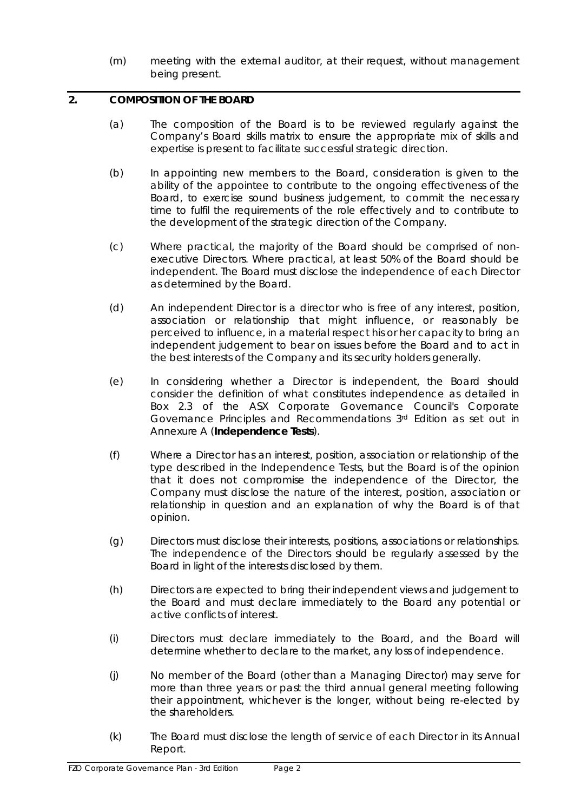(m) meeting with the external auditor, at their request, without management being present.

# **2. COMPOSITION OF THE BOARD**

- (a) The composition of the Board is to be reviewed regularly against the Company's Board skills matrix to ensure the appropriate mix of skills and expertise is present to facilitate successful strategic direction.
- (b) In appointing new members to the Board, consideration is given to the ability of the appointee to contribute to the ongoing effectiveness of the Board, to exercise sound business judgement, to commit the necessary time to fulfil the requirements of the role effectively and to contribute to the development of the strategic direction of the Company.
- (c) Where practical, the majority of the Board should be comprised of nonexecutive Directors. Where practical, at least 50% of the Board should be independent. The Board must disclose the independence of each Director as determined by the Board.
- (d) An independent Director is a director who is free of any interest, position, association or relationship that might influence, or reasonably be perceived to influence, in a material respect his or her capacity to bring an independent judgement to bear on issues before the Board and to act in the best interests of the Company and its security holders generally.
- (e) In considering whether a Director is independent, the Board should consider the definition of what constitutes independence as detailed in Box 2.3 of the ASX Corporate Governance Council's *Corporate Governance Principles and Recommendations 3rd Edition* as set out in Annexure A (**Independence Tests**).
- (f) Where a Director has an interest, position, association or relationship of the type described in the Independence Tests, but the Board is of the opinion that it does not compromise the independence of the Director, the Company must disclose the nature of the interest, position, association or relationship in question and an explanation of why the Board is of that opinion.
- (g) Directors must disclose their interests, positions, associations or relationships. The independence of the Directors should be regularly assessed by the Board in light of the interests disclosed by them.
- (h) Directors are expected to bring their independent views and judgement to the Board and must declare immediately to the Board any potential or active conflicts of interest.
- (i) Directors must declare immediately to the Board, and the Board will determine whether to declare to the market, any loss of independence.
- (j) No member of the Board (other than a Managing Director) may serve for more than three years or past the third annual general meeting following their appointment, whichever is the longer, without being re-elected by the shareholders.
- (k) The Board must disclose the length of service of each Director in its Annual Report.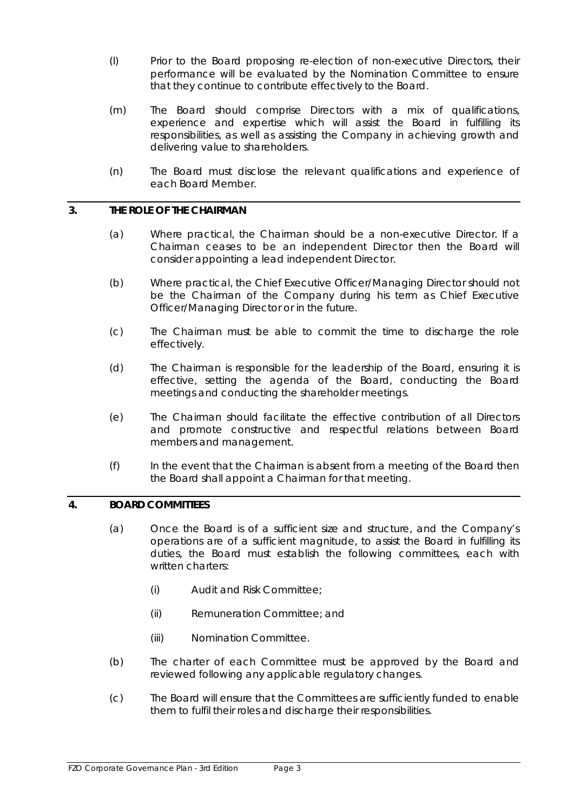- (l) Prior to the Board proposing re-election of non-executive Directors, their performance will be evaluated by the Nomination Committee to ensure that they continue to contribute effectively to the Board.
- (m) The Board should comprise Directors with a mix of qualifications, experience and expertise which will assist the Board in fulfilling its responsibilities, as well as assisting the Company in achieving growth and delivering value to shareholders.
- (n) The Board must disclose the relevant qualifications and experience of each Board Member.

### **3. THE ROLE OF THE CHAIRMAN**

- (a) Where practical, the Chairman should be a non-executive Director. If a Chairman ceases to be an independent Director then the Board will consider appointing a lead independent Director.
- (b) Where practical, the Chief Executive Officer/Managing Director should not be the Chairman of the Company during his term as Chief Executive Officer/Managing Director or in the future.
- (c) The Chairman must be able to commit the time to discharge the role effectively.
- (d) The Chairman is responsible for the leadership of the Board, ensuring it is effective, setting the agenda of the Board, conducting the Board meetings and conducting the shareholder meetings.
- (e) The Chairman should facilitate the effective contribution of all Directors and promote constructive and respectful relations between Board members and management.
- (f) In the event that the Chairman is absent from a meeting of the Board then the Board shall appoint a Chairman for that meeting.

# **4. BOARD COMMITTEES**

- (a) Once the Board is of a sufficient size and structure, and the Company's operations are of a sufficient magnitude, to assist the Board in fulfilling its duties, the Board must establish the following committees, each with written charters:
	- (i) Audit and Risk Committee;
	- (ii) Remuneration Committee; and
	- (iii) Nomination Committee.
- (b) The charter of each Committee must be approved by the Board and reviewed following any applicable regulatory changes.
- (c) The Board will ensure that the Committees are sufficiently funded to enable them to fulfil their roles and discharge their responsibilities.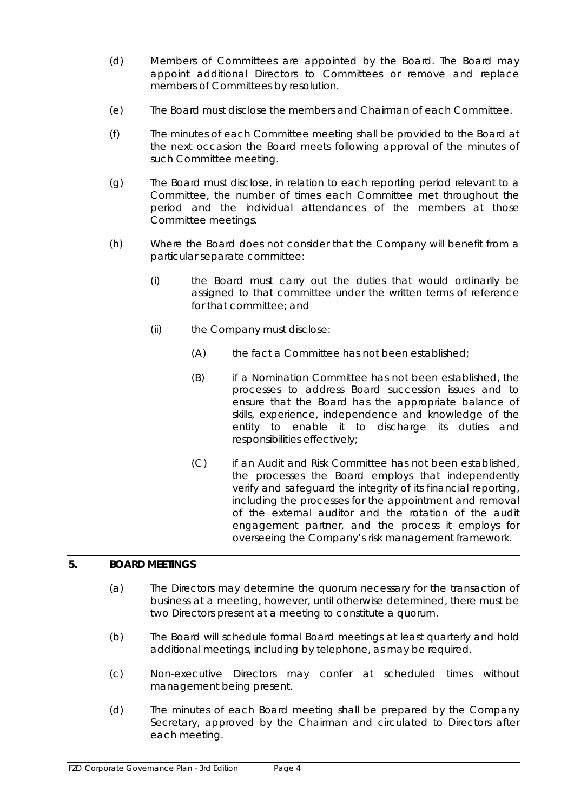- (d) Members of Committees are appointed by the Board. The Board may appoint additional Directors to Committees or remove and replace members of Committees by resolution.
- (e) The Board must disclose the members and Chairman of each Committee.
- (f) The minutes of each Committee meeting shall be provided to the Board at the next occasion the Board meets following approval of the minutes of such Committee meeting.
- (g) The Board must disclose, in relation to each reporting period relevant to a Committee, the number of times each Committee met throughout the period and the individual attendances of the members at those Committee meetings.
- (h) Where the Board does not consider that the Company will benefit from a particular separate committee:
	- (i) the Board must carry out the duties that would ordinarily be assigned to that committee under the written terms of reference for that committee; and
	- (ii) the Company must disclose:
		- (A) the fact a Committee has not been established;
		- (B) if a Nomination Committee has not been established, the processes to address Board succession issues and to ensure that the Board has the appropriate balance of skills, experience, independence and knowledge of the entity to enable it to discharge its duties and responsibilities effectively;
		- (C) if an Audit and Risk Committee has not been established, the processes the Board employs that independently verify and safeguard the integrity of its financial reporting, including the processes for the appointment and removal of the external auditor and the rotation of the audit engagement partner, and the process it employs for overseeing the Company's risk management framework.

# **5. BOARD MEETINGS**

- (a) The Directors may determine the quorum necessary for the transaction of business at a meeting, however, until otherwise determined, there must be two Directors present at a meeting to constitute a quorum.
- (b) The Board will schedule formal Board meetings at least quarterly and hold additional meetings, including by telephone, as may be required.
- (c) Non-executive Directors may confer at scheduled times without management being present.
- (d) The minutes of each Board meeting shall be prepared by the Company Secretary, approved by the Chairman and circulated to Directors after each meeting.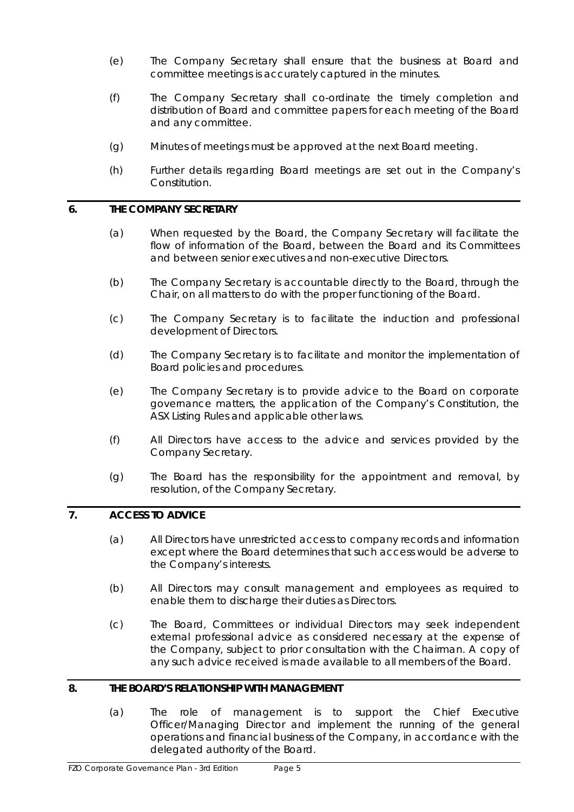- (e) The Company Secretary shall ensure that the business at Board and committee meetings is accurately captured in the minutes.
- (f) The Company Secretary shall co-ordinate the timely completion and distribution of Board and committee papers for each meeting of the Board and any committee.
- (g) Minutes of meetings must be approved at the next Board meeting.
- (h) Further details regarding Board meetings are set out in the Company's Constitution.

# **6. THE COMPANY SECRETARY**

- (a) When requested by the Board, the Company Secretary will facilitate the flow of information of the Board, between the Board and its Committees and between senior executives and non-executive Directors.
- (b) The Company Secretary is accountable directly to the Board, through the Chair, on all matters to do with the proper functioning of the Board.
- (c) The Company Secretary is to facilitate the induction and professional development of Directors.
- (d) The Company Secretary is to facilitate and monitor the implementation of Board policies and procedures.
- (e) The Company Secretary is to provide advice to the Board on corporate governance matters, the application of the Company's Constitution, the ASX Listing Rules and applicable other laws.
- (f) All Directors have access to the advice and services provided by the Company Secretary.
- (g) The Board has the responsibility for the appointment and removal, by resolution, of the Company Secretary.

# **7. ACCESS TO ADVICE**

- (a) All Directors have unrestricted access to company records and information except where the Board determines that such access would be adverse to the Company's interests.
- (b) All Directors may consult management and employees as required to enable them to discharge their duties as Directors.
- (c) The Board, Committees or individual Directors may seek independent external professional advice as considered necessary at the expense of the Company, subject to prior consultation with the Chairman. A copy of any such advice received is made available to all members of the Board.

#### **8. THE BOARD'S RELATIONSHIP WITH MANAGEMENT**

(a) The role of management is to support the Chief Executive Officer/Managing Director and implement the running of the general operations and financial business of the Company, in accordance with the delegated authority of the Board.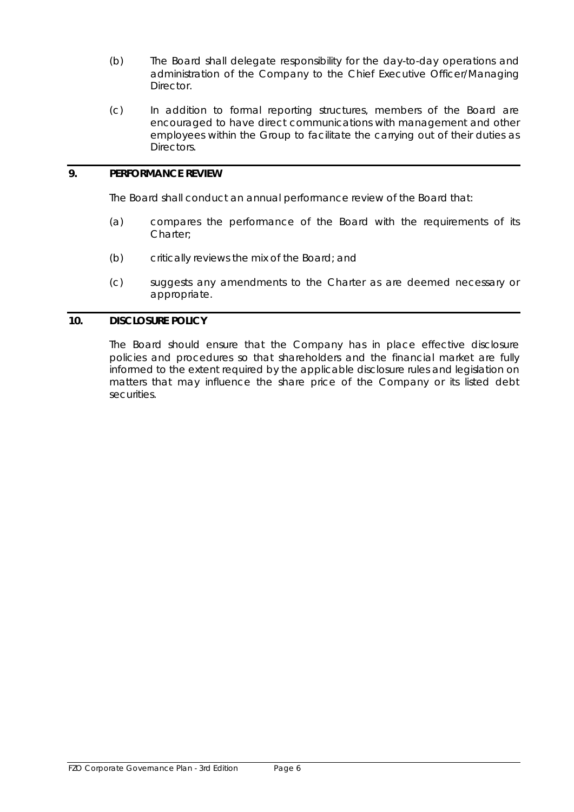- (b) The Board shall delegate responsibility for the day-to-day operations and administration of the Company to the Chief Executive Officer/Managing Director.
- (c) In addition to formal reporting structures, members of the Board are encouraged to have direct communications with management and other employees within the Group to facilitate the carrying out of their duties as Directors.

# **9. PERFORMANCE REVIEW**

The Board shall conduct an annual performance review of the Board that:

- (a) compares the performance of the Board with the requirements of its Charter;
- (b) critically reviews the mix of the Board; and
- (c) suggests any amendments to the Charter as are deemed necessary or appropriate.

#### **10. DISCLOSURE POLICY**

The Board should ensure that the Company has in place effective disclosure policies and procedures so that shareholders and the financial market are fully informed to the extent required by the applicable disclosure rules and legislation on matters that may influence the share price of the Company or its listed debt securities.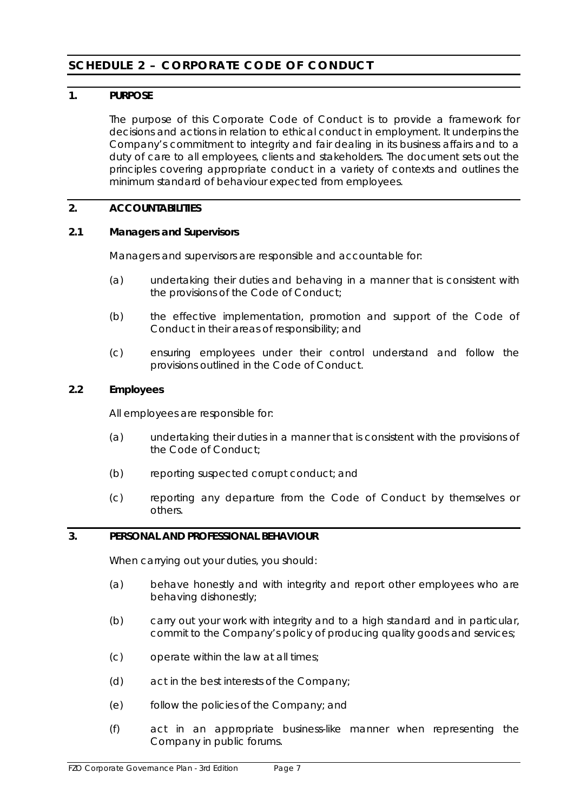# <span id="page-8-0"></span>**SCHEDULE 2 – CORPORATE CODE OF CONDUCT**

# **1. PURPOSE**

The purpose of this Corporate Code of Conduct is to provide a framework for decisions and actions in relation to ethical conduct in employment. It underpins the Company's commitment to integrity and fair dealing in its business affairs and to a duty of care to all employees, clients and stakeholders. The document sets out the principles covering appropriate conduct in a variety of contexts and outlines the minimum standard of behaviour expected from employees.

# **2. ACCOUNTABILITIES**

# **2.1 Managers and Supervisors**

Managers and supervisors are responsible and accountable for:

- (a) undertaking their duties and behaving in a manner that is consistent with the provisions of the Code of Conduct;
- (b) the effective implementation, promotion and support of the Code of Conduct in their areas of responsibility; and
- (c) ensuring employees under their control understand and follow the provisions outlined in the Code of Conduct.

# **2.2 Employees**

All employees are responsible for:

- (a) undertaking their duties in a manner that is consistent with the provisions of the Code of Conduct;
- (b) reporting suspected corrupt conduct; and
- (c) reporting any departure from the Code of Conduct by themselves or others.

# **3. PERSONAL AND PROFESSIONAL BEHAVIOUR**

When carrying out your duties, you should:

- (a) behave honestly and with integrity and report other employees who are behaving dishonestly;
- (b) carry out your work with integrity and to a high standard and in particular, commit to the Company's policy of producing quality goods and services;
- (c) operate within the law at all times;
- (d) act in the best interests of the Company;
- (e) follow the policies of the Company; and
- (f) act in an appropriate business-like manner when representing the Company in public forums.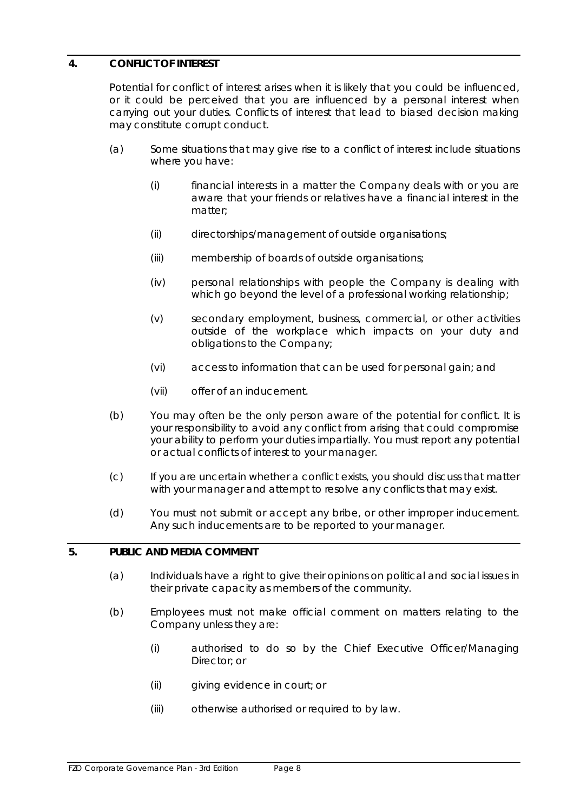# **4. CONFLICT OF INTEREST**

Potential for conflict of interest arises when it is likely that you could be influenced, or it could be perceived that you are influenced by a personal interest when carrying out your duties. Conflicts of interest that lead to biased decision making may constitute corrupt conduct.

- (a) Some situations that may give rise to a conflict of interest include situations where you have:
	- (i) financial interests in a matter the Company deals with or you are aware that your friends or relatives have a financial interest in the matter;
	- (ii) directorships/management of outside organisations;
	- (iii) membership of boards of outside organisations;
	- (iv) personal relationships with people the Company is dealing with which go beyond the level of a professional working relationship;
	- (v) secondary employment, business, commercial, or other activities outside of the workplace which impacts on your duty and obligations to the Company;
	- (vi) access to information that can be used for personal gain; and
	- (vii) offer of an inducement.
- (b) You may often be the only person aware of the potential for conflict. It is your responsibility to avoid any conflict from arising that could compromise your ability to perform your duties impartially. You must report any potential or actual conflicts of interest to your manager.
- (c) If you are uncertain whether a conflict exists, you should discuss that matter with your manager and attempt to resolve any conflicts that may exist.
- (d) You must not submit or accept any bribe, or other improper inducement. Any such inducements are to be reported to your manager.

# **5. PUBLIC AND MEDIA COMMENT**

- (a) Individuals have a right to give their opinions on political and social issues in their private capacity as members of the community.
- (b) Employees must not make official comment on matters relating to the Company unless they are:
	- (i) authorised to do so by the Chief Executive Officer/Managing Director: or
	- (ii) giving evidence in court; or
	- (iii) otherwise authorised or required to by law.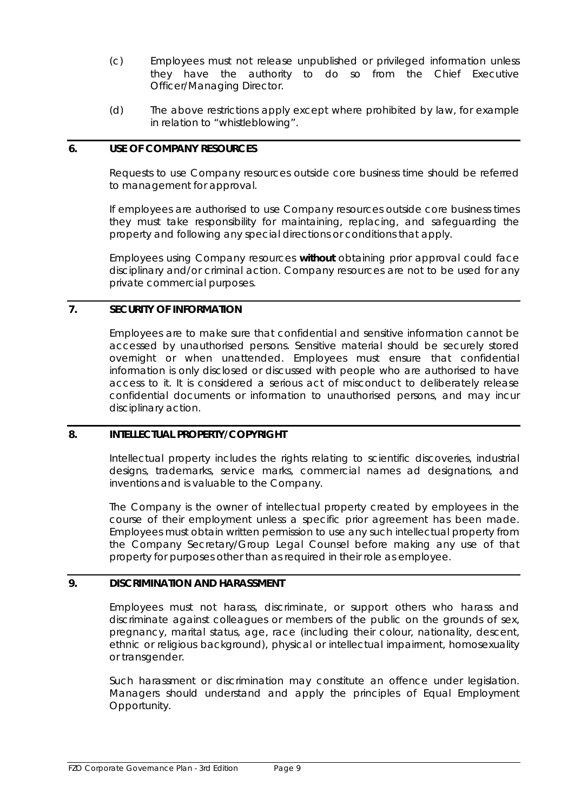- (c) Employees must not release unpublished or privileged information unless they have the authority to do so from the Chief Executive Officer/Managing Director.
- (d) The above restrictions apply except where prohibited by law, for example in relation to "whistleblowing".

# **6. USE OF COMPANY RESOURCES**

Requests to use Company resources outside core business time should be referred to management for approval.

If employees are authorised to use Company resources outside core business times they must take responsibility for maintaining, replacing, and safeguarding the property and following any special directions or conditions that apply.

Employees using Company resources *without* obtaining prior approval could face disciplinary and/or criminal action. Company resources are not to be used for any private commercial purposes.

### **7. SECURITY OF INFORMATION**

Employees are to make sure that confidential and sensitive information cannot be accessed by unauthorised persons. Sensitive material should be securely stored overnight or when unattended. Employees must ensure that confidential information is only disclosed or discussed with people who are authorised to have access to it. It is considered a serious act of misconduct to deliberately release confidential documents or information to unauthorised persons, and may incur disciplinary action.

#### **8. INTELLECTUAL PROPERTY/COPYRIGHT**

Intellectual property includes the rights relating to scientific discoveries, industrial designs, trademarks, service marks, commercial names ad designations, and inventions and is valuable to the Company.

The Company is the owner of intellectual property created by employees in the course of their employment unless a specific prior agreement has been made. Employees must obtain written permission to use any such intellectual property from the Company Secretary/Group Legal Counsel before making any use of that property for purposes other than as required in their role as employee.

### **9. DISCRIMINATION AND HARASSMENT**

Employees must not harass, discriminate, or support others who harass and discriminate against colleagues or members of the public on the grounds of sex, pregnancy, marital status, age, race (including their colour, nationality, descent, ethnic or religious background), physical or intellectual impairment, homosexuality or transgender.

Such harassment or discrimination may constitute an offence under legislation. Managers should understand and apply the principles of Equal Employment Opportunity.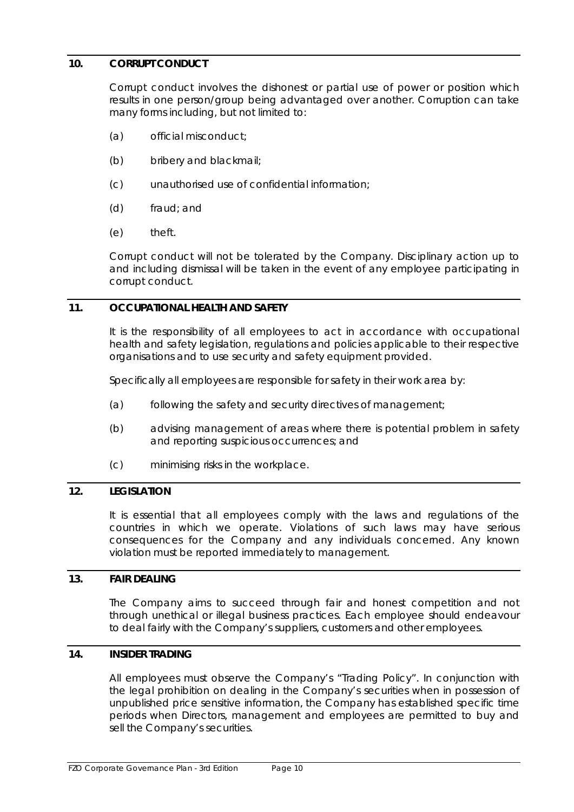# **10. CORRUPT CONDUCT**

Corrupt conduct involves the dishonest or partial use of power or position which results in one person/group being advantaged over another. Corruption can take many forms including, but not limited to:

- (a) official misconduct;
- (b) bribery and blackmail;
- (c) unauthorised use of confidential information;
- (d) fraud; and
- (e) theft.

Corrupt conduct will not be tolerated by the Company. Disciplinary action up to and including dismissal will be taken in the event of any employee participating in corrupt conduct.

# **11. OCCUPATIONAL HEALTH AND SAFETY**

It is the responsibility of all employees to act in accordance with occupational health and safety legislation, regulations and policies applicable to their respective organisations and to use security and safety equipment provided.

Specifically all employees are responsible for safety in their work area by:

- (a) following the safety and security directives of management;
- (b) advising management of areas where there is potential problem in safety and reporting suspicious occurrences; and
- (c) minimising risks in the workplace.

# **12. LEGISLATION**

It is essential that all employees comply with the laws and regulations of the countries in which we operate. Violations of such laws may have serious consequences for the Company and any individuals concerned. Any known violation must be reported immediately to management.

# **13. FAIR DEALING**

The Company aims to succeed through fair and honest competition and not through unethical or illegal business practices. Each employee should endeavour to deal fairly with the Company's suppliers, customers and other employees.

# **14. INSIDER TRADING**

All employees must observe the Company's "*Trading Policy*". In conjunction with the legal prohibition on dealing in the Company's securities when in possession of unpublished price sensitive information, the Company has established specific time periods when Directors, management and employees are permitted to buy and sell the Company's securities.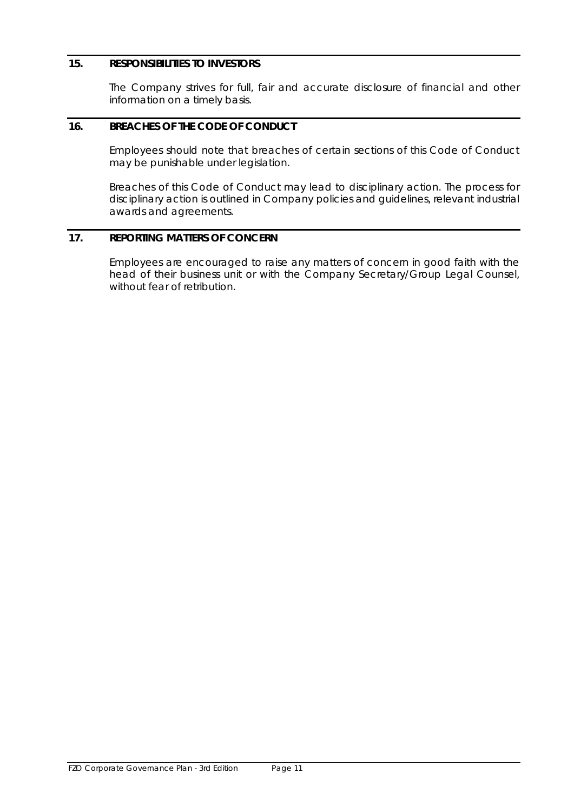# **15. RESPONSIBILITIES TO INVESTORS**

The Company strives for full, fair and accurate disclosure of financial and other information on a timely basis.

# **16. BREACHES OF THE CODE OF CONDUCT**

Employees should note that breaches of certain sections of this Code of Conduct may be punishable under legislation.

Breaches of this Code of Conduct may lead to disciplinary action. The process for disciplinary action is outlined in Company policies and guidelines, relevant industrial awards and agreements.

# **17. REPORTING MATTERS OF CONCERN**

Employees are encouraged to raise any matters of concern in good faith with the head of their business unit or with the Company Secretary/Group Legal Counsel, without fear of retribution.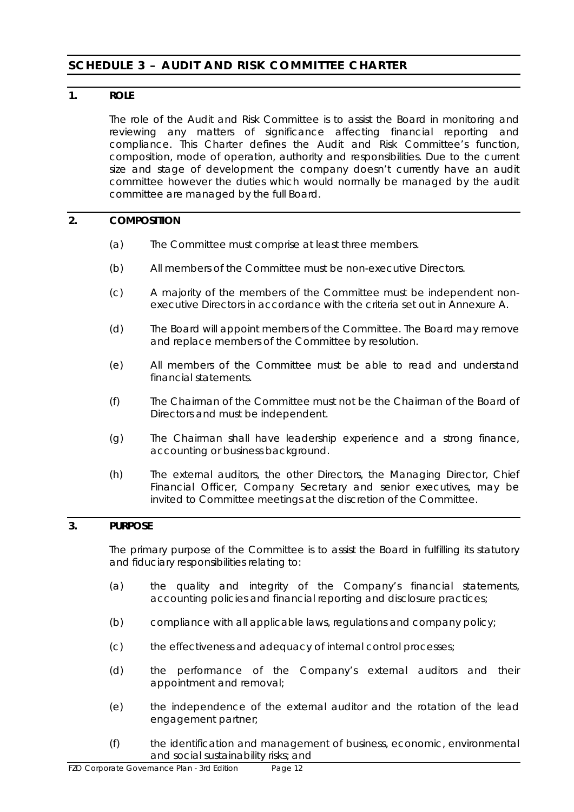# <span id="page-13-0"></span>**SCHEDULE 3 - AUDIT AND RISK COMMITTEE CHARTER**

# **1. ROLE**

The role of the Audit and Risk Committee is to assist the Board in monitoring and reviewing any matters of significance affecting financial reporting and compliance. This Charter defines the Audit and Risk Committee's function, composition, mode of operation, authority and responsibilities. Due to the current size and stage of development the company doesn't currently have an audit committee however the duties which would normally be managed by the audit committee are managed by the full Board.

# **2. COMPOSITION**

- (a) The Committee must comprise at least three members.
- (b) All members of the Committee must be non-executive Directors.
- (c) A majority of the members of the Committee must be independent nonexecutive Directors in accordance with the criteria set out in Annexure A.
- (d) The Board will appoint members of the Committee. The Board may remove and replace members of the Committee by resolution.
- (e) All members of the Committee must be able to read and understand financial statements.
- (f) The Chairman of the Committee must not be the Chairman of the Board of Directors and must be independent.
- (g) The Chairman shall have leadership experience and a strong finance, accounting or business background.
- (h) The external auditors, the other Directors, the Managing Director, Chief Financial Officer, Company Secretary and senior executives, may be invited to Committee meetings at the discretion of the Committee.

# **3. PURPOSE**

The primary purpose of the Committee is to assist the Board in fulfilling its statutory and fiduciary responsibilities relating to:

- (a) the quality and integrity of the Company's financial statements, accounting policies and financial reporting and disclosure practices;
- (b) compliance with all applicable laws, regulations and company policy;
- (c) the effectiveness and adequacy of internal control processes;
- (d) the performance of the Company's external auditors and their appointment and removal;
- (e) the independence of the external auditor and the rotation of the lead engagement partner;
- (f) the identification and management of business, economic, environmental and social sustainability risks; and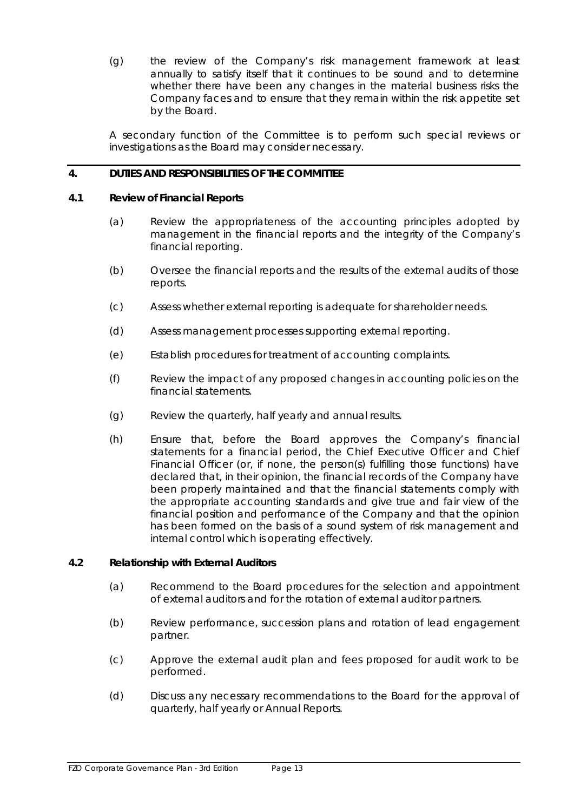(g) the review of the Company's risk management framework at least annually to satisfy itself that it continues to be sound and to determine whether there have been any changes in the material business risks the Company faces and to ensure that they remain within the risk appetite set by the Board.

A secondary function of the Committee is to perform such special reviews or investigations as the Board may consider necessary.

# **4. DUTIES AND RESPONSIBILITIES OF THE COMMITTEE**

#### **4.1 Review of Financial Reports**

- (a) Review the appropriateness of the accounting principles adopted by management in the financial reports and the integrity of the Company's financial reporting.
- (b) Oversee the financial reports and the results of the external audits of those reports.
- (c) Assess whether external reporting is adequate for shareholder needs.
- (d) Assess management processes supporting external reporting.
- (e) Establish procedures for treatment of accounting complaints.
- (f) Review the impact of any proposed changes in accounting policies on the financial statements.
- (g) Review the quarterly, half yearly and annual results.
- (h) Ensure that, before the Board approves the Company's financial statements for a financial period, the Chief Executive Officer and Chief Financial Officer (or, if none, the person(s) fulfilling those functions) have declared that, in their opinion, the financial records of the Company have been properly maintained and that the financial statements comply with the appropriate accounting standards and give true and fair view of the financial position and performance of the Company and that the opinion has been formed on the basis of a sound system of risk management and internal control which is operating effectively.

#### **4.2 Relationship with External Auditors**

- (a) Recommend to the Board procedures for the selection and appointment of external auditors and for the rotation of external auditor partners.
- (b) Review performance, succession plans and rotation of lead engagement partner.
- (c) Approve the external audit plan and fees proposed for audit work to be performed.
- (d) Discuss any necessary recommendations to the Board for the approval of quarterly, half yearly or Annual Reports.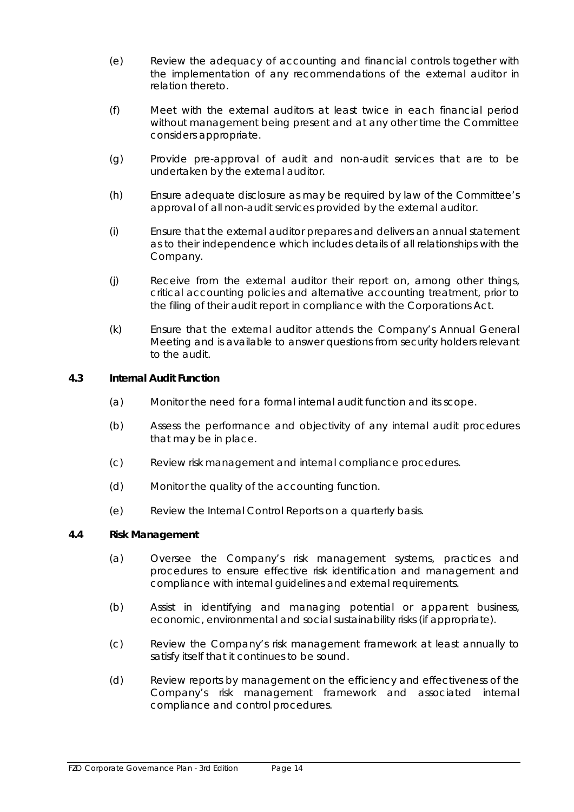- (e) Review the adequacy of accounting and financial controls together with the implementation of any recommendations of the external auditor in relation thereto.
- (f) Meet with the external auditors at least twice in each financial period without management being present and at any other time the Committee considers appropriate.
- (g) Provide pre-approval of audit and non-audit services that are to be undertaken by the external auditor.
- (h) Ensure adequate disclosure as may be required by law of the Committee's approval of all non-audit services provided by the external auditor.
- (i) Ensure that the external auditor prepares and delivers an annual statement as to their independence which includes details of all relationships with the Company.
- (j) Receive from the external auditor their report on, among other things, critical accounting policies and alternative accounting treatment, prior to the filing of their audit report in compliance with the Corporations Act.
- (k) Ensure that the external auditor attends the Company's Annual General Meeting and is available to answer questions from security holders relevant to the audit.

# **4.3 Internal Audit Function**

- (a) Monitor the need for a formal internal audit function and its scope.
- (b) Assess the performance and objectivity of any internal audit procedures that may be in place.
- (c) Review risk management and internal compliance procedures.
- (d) Monitor the quality of the accounting function.
- (e) Review the Internal Control Reports on a quarterly basis.

#### **4.4 Risk Management**

- (a) Oversee the Company's risk management systems, practices and procedures to ensure effective risk identification and management and compliance with internal guidelines and external requirements.
- (b) Assist in identifying and managing potential or apparent business, economic, environmental and social sustainability risks (if appropriate).
- (c) Review the Company's risk management framework at least annually to satisfy itself that it continues to be sound.
- (d) Review reports by management on the efficiency and effectiveness of the Company's risk management framework and associated internal compliance and control procedures.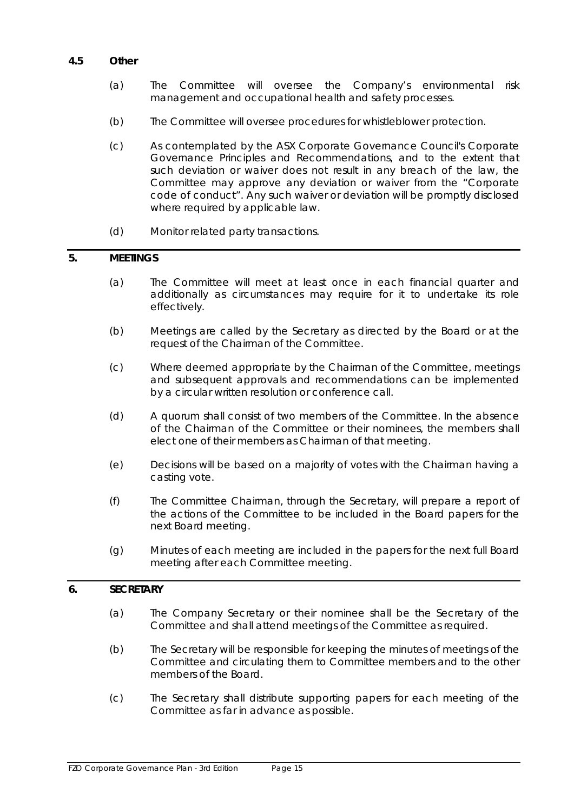# **4.5 Other**

- (a) The Committee will oversee the Company's environmental risk management and occupational health and safety processes.
- (b) The Committee will oversee procedures for whistleblower protection.
- (c) As contemplated by the ASX Corporate Governance Council's *Corporate Governance Principles and Recommendations*, and to the extent that such deviation or waiver does not result in any breach of the law, the Committee may approve any deviation or waiver from the "*Corporate code of conduct*". Any such waiver or deviation will be promptly disclosed where required by applicable law.
- (d) Monitor related party transactions.

# **5. MEETINGS**

- (a) The Committee will meet at least once in each financial quarter and additionally as circumstances may require for it to undertake its role effectively.
- (b) Meetings are called by the Secretary as directed by the Board or at the request of the Chairman of the Committee.
- (c) Where deemed appropriate by the Chairman of the Committee, meetings and subsequent approvals and recommendations can be implemented by a circular written resolution or conference call.
- (d) A quorum shall consist of two members of the Committee. In the absence of the Chairman of the Committee or their nominees, the members shall elect one of their members as Chairman of that meeting.
- (e) Decisions will be based on a majority of votes with the Chairman having a casting vote.
- (f) The Committee Chairman, through the Secretary, will prepare a report of the actions of the Committee to be included in the Board papers for the next Board meeting.
- (g) Minutes of each meeting are included in the papers for the next full Board meeting after each Committee meeting.

# **6. SECRETARY**

- (a) The Company Secretary or their nominee shall be the Secretary of the Committee and shall attend meetings of the Committee as required.
- (b) The Secretary will be responsible for keeping the minutes of meetings of the Committee and circulating them to Committee members and to the other members of the Board.
- (c) The Secretary shall distribute supporting papers for each meeting of the Committee as far in advance as possible.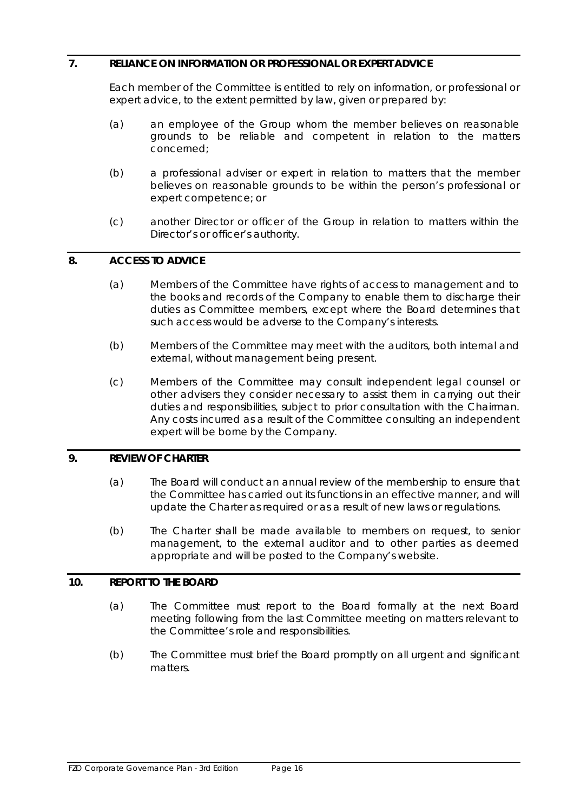### **7. RELIANCE ON INFORMATION OR PROFESSIONAL OR EXPERT ADVICE**

Each member of the Committee is entitled to rely on information, or professional or expert advice, to the extent permitted by law, given or prepared by:

- (a) an employee of the Group whom the member believes on reasonable grounds to be reliable and competent in relation to the matters concerned;
- (b) a professional adviser or expert in relation to matters that the member believes on reasonable grounds to be within the person's professional or expert competence; or
- (c) another Director or officer of the Group in relation to matters within the Director's or officer's authority.

# **8. ACCESS TO ADVICE**

- (a) Members of the Committee have rights of access to management and to the books and records of the Company to enable them to discharge their duties as Committee members, except where the Board determines that such access would be adverse to the Company's interests.
- (b) Members of the Committee may meet with the auditors, both internal and external, without management being present.
- (c) Members of the Committee may consult independent legal counsel or other advisers they consider necessary to assist them in carrying out their duties and responsibilities, subject to prior consultation with the Chairman. Any costs incurred as a result of the Committee consulting an independent expert will be borne by the Company.

#### **9. REVIEW OF CHARTER**

- (a) The Board will conduct an annual review of the membership to ensure that the Committee has carried out its functions in an effective manner, and will update the Charter as required or as a result of new laws or regulations.
- (b) The Charter shall be made available to members on request, to senior management, to the external auditor and to other parties as deemed appropriate and will be posted to the Company's website.

#### **10. REPORT TO THE BOARD**

- (a) The Committee must report to the Board formally at the next Board meeting following from the last Committee meeting on matters relevant to the Committee's role and responsibilities.
- (b) The Committee must brief the Board promptly on all urgent and significant matters.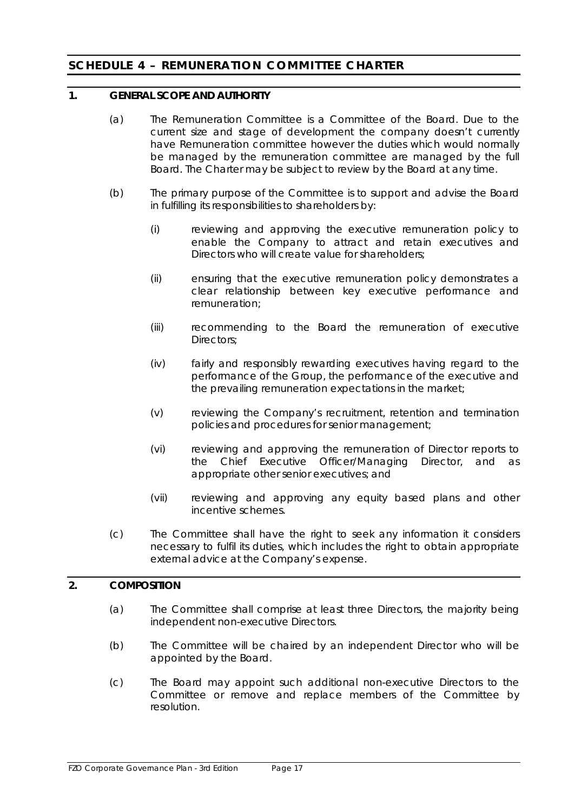# <span id="page-18-0"></span>**SCHEDULE 4 - REMUNERATION COMMITTEE CHARTER**

### **1. GENERAL SCOPE AND AUTHORITY**

- (a) The Remuneration Committee is a Committee of the Board. Due to the current size and stage of development the company doesn't currently have Remuneration committee however the duties which would normally be managed by the remuneration committee are managed by the full Board. The Charter may be subject to review by the Board at any time.
- (b) The primary purpose of the Committee is to support and advise the Board in fulfilling its responsibilities to shareholders by:
	- (i) reviewing and approving the executive remuneration policy to enable the Company to attract and retain executives and Directors who will create value for shareholders;
	- (ii) ensuring that the executive remuneration policy demonstrates a clear relationship between key executive performance and remuneration;
	- (iii) recommending to the Board the remuneration of executive Directors;
	- (iv) fairly and responsibly rewarding executives having regard to the performance of the Group, the performance of the executive and the prevailing remuneration expectations in the market;
	- (v) reviewing the Company's recruitment, retention and termination policies and procedures for senior management;
	- (vi) reviewing and approving the remuneration of Director reports to the Chief Executive Officer/Managing Director, and as appropriate other senior executives; and
	- (vii) reviewing and approving any equity based plans and other incentive schemes.
- (c) The Committee shall have the right to seek any information it considers necessary to fulfil its duties, which includes the right to obtain appropriate external advice at the Company's expense.

### **2. COMPOSITION**

- (a) The Committee shall comprise at least three Directors, the majority being independent non-executive Directors.
- (b) The Committee will be chaired by an independent Director who will be appointed by the Board.
- (c) The Board may appoint such additional non-executive Directors to the Committee or remove and replace members of the Committee by resolution.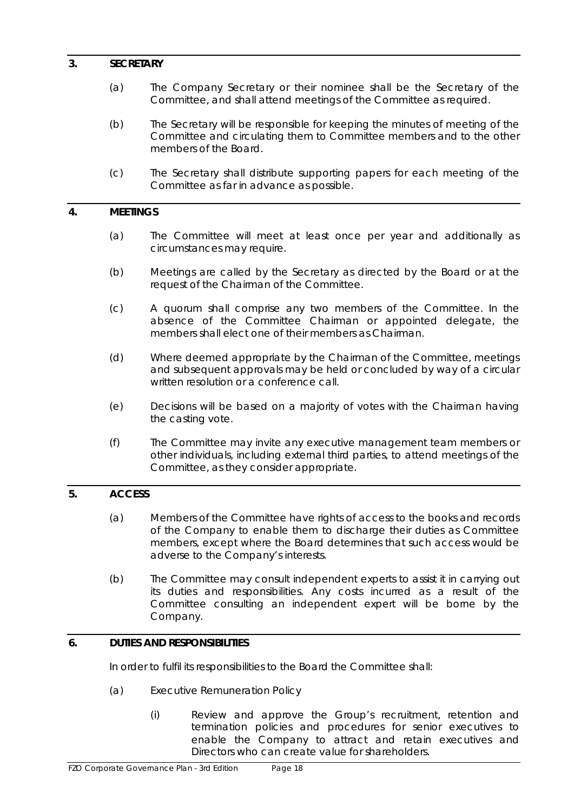### **3. SECRETARY**

- (a) The Company Secretary or their nominee shall be the Secretary of the Committee, and shall attend meetings of the Committee as required.
- (b) The Secretary will be responsible for keeping the minutes of meeting of the Committee and circulating them to Committee members and to the other members of the Board.
- (c) The Secretary shall distribute supporting papers for each meeting of the Committee as far in advance as possible.

#### **4. MEETINGS**

- (a) The Committee will meet at least once per year and additionally as circumstances may require.
- (b) Meetings are called by the Secretary as directed by the Board or at the request of the Chairman of the Committee.
- (c) A quorum shall comprise any two members of the Committee. In the absence of the Committee Chairman or appointed delegate, the members shall elect one of their members as Chairman.
- (d) Where deemed appropriate by the Chairman of the Committee, meetings and subsequent approvals may be held or concluded by way of a circular written resolution or a conference call.
- (e) Decisions will be based on a majority of votes with the Chairman having the casting vote.
- (f) The Committee may invite any executive management team members or other individuals, including external third parties, to attend meetings of the Committee, as they consider appropriate.

# **5. ACCESS**

- (a) Members of the Committee have rights of access to the books and records of the Company to enable them to discharge their duties as Committee members, except where the Board determines that such access would be adverse to the Company's interests.
- (b) The Committee may consult independent experts to assist it in carrying out its duties and responsibilities. Any costs incurred as a result of the Committee consulting an independent expert will be borne by the Company.

# **6. DUTIES AND RESPONSIBILITIES**

In order to fulfil its responsibilities to the Board the Committee shall:

- (a) Executive Remuneration Policy
	- (i) Review and approve the Group's recruitment, retention and termination policies and procedures for senior executives to enable the Company to attract and retain executives and Directors who can create value for shareholders.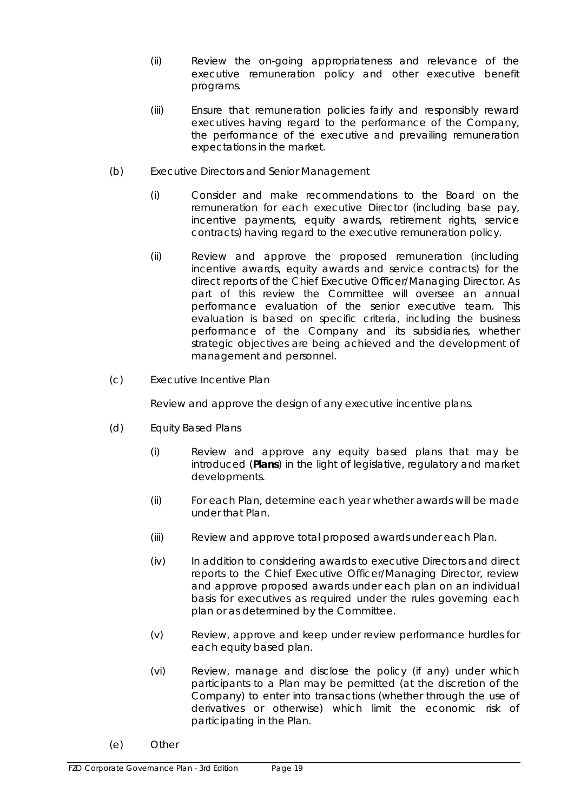- (ii) Review the on-going appropriateness and relevance of the executive remuneration policy and other executive benefit programs.
- (iii) Ensure that remuneration policies fairly and responsibly reward executives having regard to the performance of the Company, the performance of the executive and prevailing remuneration expectations in the market.
- (b) Executive Directors and Senior Management
	- (i) Consider and make recommendations to the Board on the remuneration for each executive Director (including base pay, incentive payments, equity awards, retirement rights, service contracts) having regard to the executive remuneration policy.
	- (ii) Review and approve the proposed remuneration (including incentive awards, equity awards and service contracts) for the direct reports of the Chief Executive Officer/Managing Director. As part of this review the Committee will oversee an annual performance evaluation of the senior executive team. This evaluation is based on specific criteria, including the business performance of the Company and its subsidiaries, whether strategic objectives are being achieved and the development of management and personnel.
- (c) Executive Incentive Plan

Review and approve the design of any executive incentive plans.

- (d) Equity Based Plans
	- (i) Review and approve any equity based plans that may be introduced (**Plans**) in the light of legislative, regulatory and market developments.
	- (ii) For each Plan, determine each year whether awards will be made under that Plan.
	- (iii) Review and approve total proposed awards under each Plan.
	- (iv) In addition to considering awards to executive Directors and direct reports to the Chief Executive Officer/Managing Director, review and approve proposed awards under each plan on an individual basis for executives as required under the rules governing each plan or as determined by the Committee.
	- (v) Review, approve and keep under review performance hurdles for each equity based plan.
	- (vi) Review, manage and disclose the policy (if any) under which participants to a Plan may be permitted (at the discretion of the Company) to enter into transactions (whether through the use of derivatives or otherwise) which limit the economic risk of participating in the Plan.
- (e) Other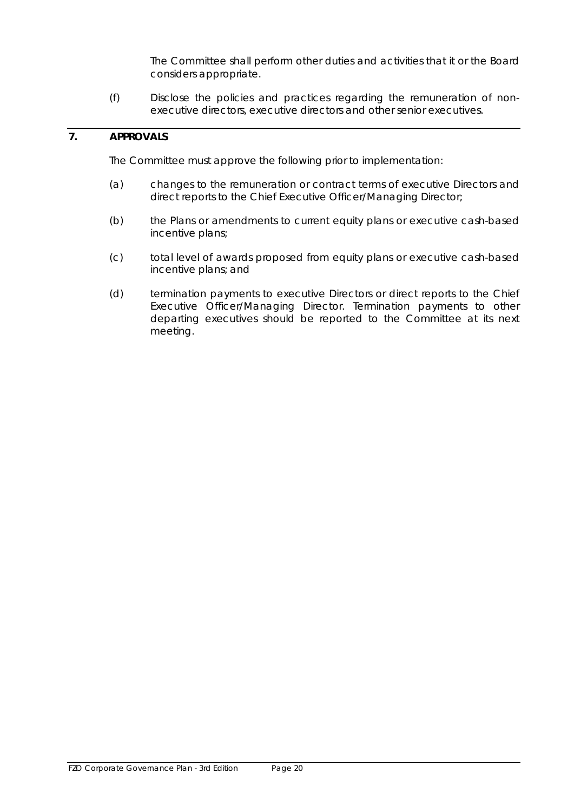The Committee shall perform other duties and activities that it or the Board considers appropriate.

(f) Disclose the policies and practices regarding the remuneration of nonexecutive directors, executive directors and other senior executives.

# **7. APPROVALS**

The Committee must approve the following prior to implementation:

- (a) changes to the remuneration or contract terms of executive Directors and direct reports to the Chief Executive Officer/Managing Director;
- (b) the Plans or amendments to current equity plans or executive cash-based incentive plans;
- (c) total level of awards proposed from equity plans or executive cash-based incentive plans; and
- (d) termination payments to executive Directors or direct reports to the Chief Executive Officer/Managing Director. Termination payments to other departing executives should be reported to the Committee at its next meeting.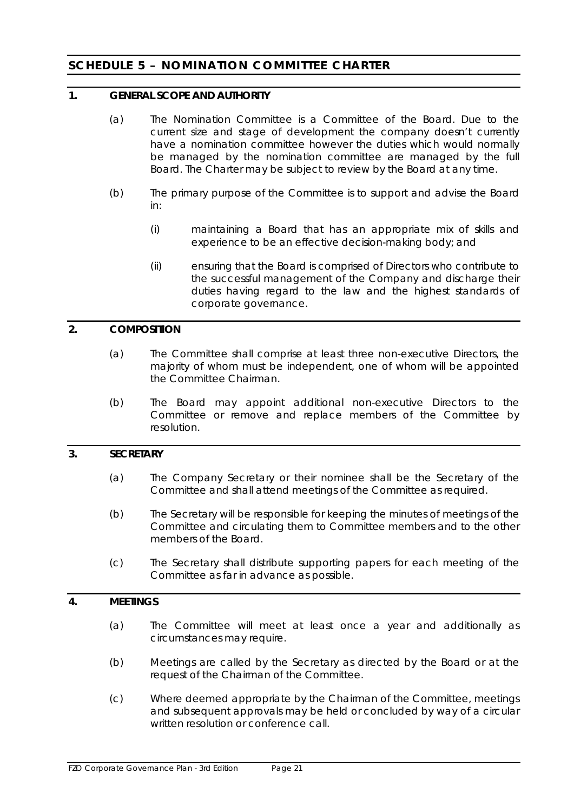# <span id="page-22-0"></span>**SCHEDULE 5 – NOMINATION COMMITTEE CHARTER**

### **1. GENERAL SCOPE AND AUTHORITY**

- (a) The Nomination Committee is a Committee of the Board. Due to the current size and stage of development the company doesn't currently have a nomination committee however the duties which would normally be managed by the nomination committee are managed by the full Board. The Charter may be subject to review by the Board at any time.
- (b) The primary purpose of the Committee is to support and advise the Board in:
	- (i) maintaining a Board that has an appropriate mix of skills and experience to be an effective decision-making body; and
	- (ii) ensuring that the Board is comprised of Directors who contribute to the successful management of the Company and discharge their duties having regard to the law and the highest standards of corporate governance.

### **2. COMPOSITION**

- (a) The Committee shall comprise at least three non-executive Directors, the majority of whom must be independent, one of whom will be appointed the Committee Chairman.
- (b) The Board may appoint additional non-executive Directors to the Committee or remove and replace members of the Committee by resolution.

# **3. SECRETARY**

- (a) The Company Secretary or their nominee shall be the Secretary of the Committee and shall attend meetings of the Committee as required.
- (b) The Secretary will be responsible for keeping the minutes of meetings of the Committee and circulating them to Committee members and to the other members of the Board.
- (c) The Secretary shall distribute supporting papers for each meeting of the Committee as far in advance as possible.

### **4. MEETINGS**

- (a) The Committee will meet at least once a year and additionally as circumstances may require.
- (b) Meetings are called by the Secretary as directed by the Board or at the request of the Chairman of the Committee.
- (c) Where deemed appropriate by the Chairman of the Committee, meetings and subsequent approvals may be held or concluded by way of a circular written resolution or conference call.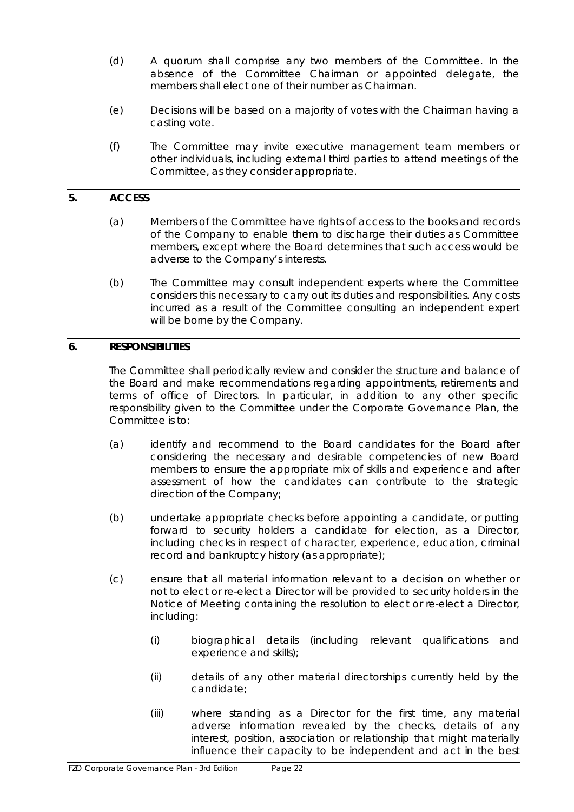- (d) A quorum shall comprise any two members of the Committee. In the absence of the Committee Chairman or appointed delegate, the members shall elect one of their number as Chairman.
- (e) Decisions will be based on a majority of votes with the Chairman having a casting vote.
- (f) The Committee may invite executive management team members or other individuals, including external third parties to attend meetings of the Committee, as they consider appropriate.

# **5. ACCESS**

- (a) Members of the Committee have rights of access to the books and records of the Company to enable them to discharge their duties as Committee members, except where the Board determines that such access would be adverse to the Company's interests.
- (b) The Committee may consult independent experts where the Committee considers this necessary to carry out its duties and responsibilities. Any costs incurred as a result of the Committee consulting an independent expert will be borne by the Company.

# **6. RESPONSIBILITIES**

The Committee shall periodically review and consider the structure and balance of the Board and make recommendations regarding appointments, retirements and terms of office of Directors. In particular, in addition to any other specific responsibility given to the Committee under the Corporate Governance Plan, the Committee is to:

- (a) identify and recommend to the Board candidates for the Board after considering the necessary and desirable competencies of new Board members to ensure the appropriate mix of skills and experience and after assessment of how the candidates can contribute to the strategic direction of the Company;
- (b) undertake appropriate checks before appointing a candidate, or putting forward to security holders a candidate for election, as a Director, including checks in respect of character, experience, education, criminal record and bankruptcy history (as appropriate);
- (c) ensure that all material information relevant to a decision on whether or not to elect or re-elect a Director will be provided to security holders in the Notice of Meeting containing the resolution to elect or re-elect a Director, including:
	- (i) biographical details (including relevant qualifications and experience and skills);
	- (ii) details of any other material directorships currently held by the candidate;
	- (iii) where standing as a Director for the first time, any material adverse information revealed by the checks, details of any interest, position, association or relationship that might materially influence their capacity to be independent and act in the best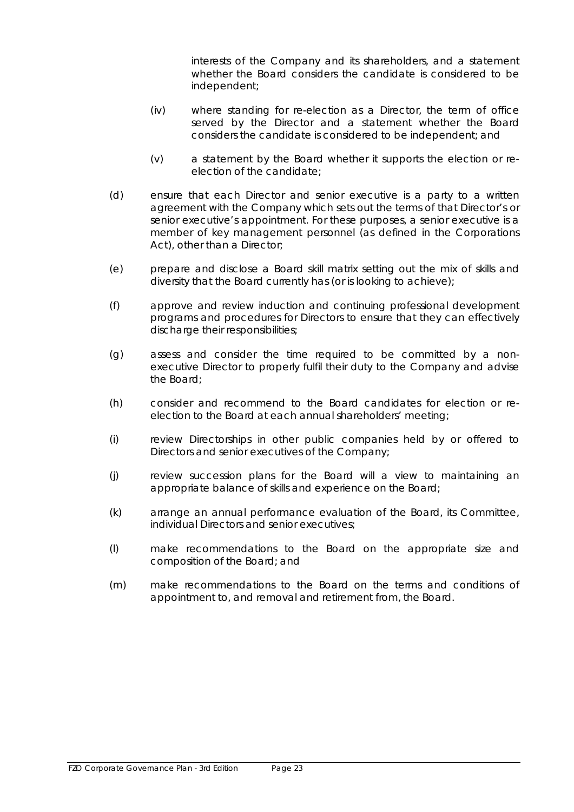interests of the Company and its shareholders, and a statement whether the Board considers the candidate is considered to be independent;

- (iv) where standing for re-election as a Director, the term of office served by the Director and a statement whether the Board considers the candidate is considered to be independent; and
- (v) a statement by the Board whether it supports the election or reelection of the candidate;
- (d) ensure that each Director and senior executive is a party to a written agreement with the Company which sets out the terms of that Director's or senior executive's appointment. For these purposes, a senior executive is a member of key management personnel (as defined in the Corporations Act), other than a Director;
- (e) prepare and disclose a Board skill matrix setting out the mix of skills and diversity that the Board currently has (or is looking to achieve);
- (f) approve and review induction and continuing professional development programs and procedures for Directors to ensure that they can effectively discharge their responsibilities;
- (g) assess and consider the time required to be committed by a nonexecutive Director to properly fulfil their duty to the Company and advise the Board;
- (h) consider and recommend to the Board candidates for election or reelection to the Board at each annual shareholders' meeting;
- (i) review Directorships in other public companies held by or offered to Directors and senior executives of the Company;
- (j) review succession plans for the Board will a view to maintaining an appropriate balance of skills and experience on the Board;
- (k) arrange an annual performance evaluation of the Board, its Committee, individual Directors and senior executives;
- (l) make recommendations to the Board on the appropriate size and composition of the Board; and
- (m) make recommendations to the Board on the terms and conditions of appointment to, and removal and retirement from, the Board.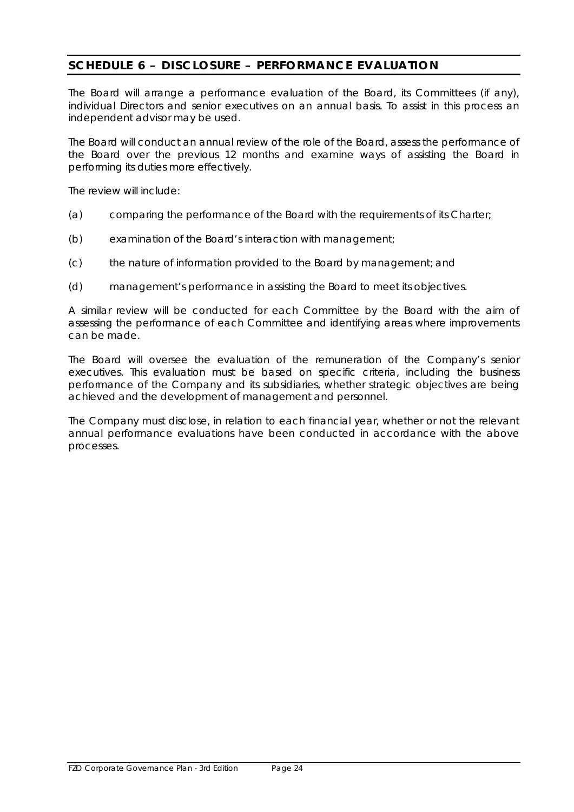# <span id="page-25-0"></span>**SCHEDULE 6 – DISCLOSURE – PERFORMANCE EVALUATION**

The Board will arrange a performance evaluation of the Board, its Committees (if any), individual Directors and senior executives on an annual basis. To assist in this process an independent advisor may be used.

The Board will conduct an annual review of the role of the Board, assess the performance of the Board over the previous 12 months and examine ways of assisting the Board in performing its duties more effectively.

The review will include:

- (a) comparing the performance of the Board with the requirements of its Charter;
- (b) examination of the Board's interaction with management;
- (c) the nature of information provided to the Board by management; and
- (d) management's performance in assisting the Board to meet its objectives.

A similar review will be conducted for each Committee by the Board with the aim of assessing the performance of each Committee and identifying areas where improvements can be made.

The Board will oversee the evaluation of the remuneration of the Company's senior executives. This evaluation must be based on specific criteria, including the business performance of the Company and its subsidiaries, whether strategic objectives are being achieved and the development of management and personnel.

The Company must disclose, in relation to each financial year, whether or not the relevant annual performance evaluations have been conducted in accordance with the above processes.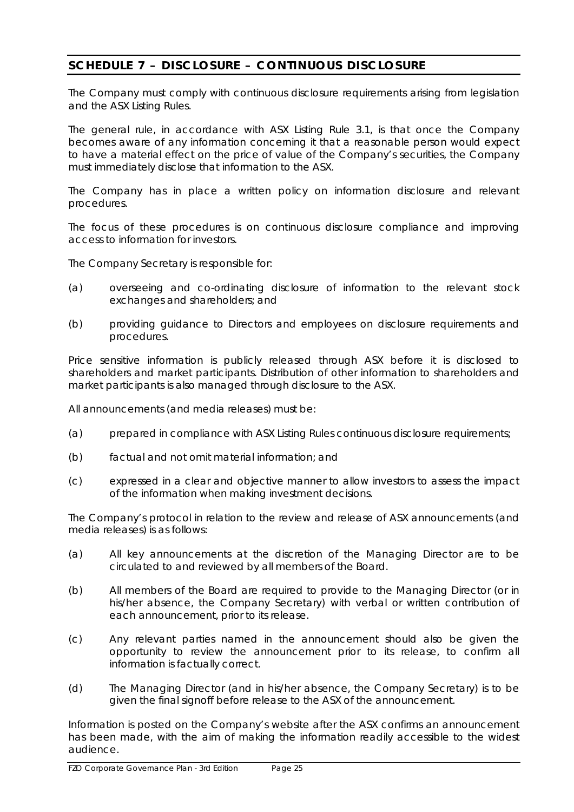# <span id="page-26-0"></span>**SCHEDULE 7 – DISCLOSURE – CONTINUOUS DISCLOSURE**

The Company must comply with continuous disclosure requirements arising from legislation and the ASX Listing Rules.

The general rule, in accordance with ASX Listing Rule 3.1, is that once the Company becomes aware of any information concerning it that a reasonable person would expect to have a material effect on the price of value of the Company's securities, the Company must immediately disclose that information to the ASX.

The Company has in place a written policy on information disclosure and relevant procedures.

The focus of these procedures is on continuous disclosure compliance and improving access to information for investors.

The Company Secretary is responsible for:

- (a) overseeing and co-ordinating disclosure of information to the relevant stock exchanges and shareholders; and
- (b) providing guidance to Directors and employees on disclosure requirements and procedures.

Price sensitive information is publicly released through ASX before it is disclosed to shareholders and market participants. Distribution of other information to shareholders and market participants is also managed through disclosure to the ASX.

All announcements (and media releases) must be:

- (a) prepared in compliance with ASX Listing Rules continuous disclosure requirements;
- (b) factual and not omit material information; and
- (c) expressed in a clear and objective manner to allow investors to assess the impact of the information when making investment decisions.

The Company's protocol in relation to the review and release of ASX announcements (and media releases) is as follows:

- (a) All key announcements at the discretion of the Managing Director are to be circulated to and reviewed by all members of the Board.
- (b) All members of the Board are required to provide to the Managing Director (or in his/her absence, the Company Secretary) with verbal or written contribution of each announcement, prior to its release.
- (c) Any relevant parties named in the announcement should also be given the opportunity to review the announcement prior to its release, to confirm all information is factually correct.
- (d) The Managing Director (and in his/her absence, the Company Secretary) is to be given the final signoff before release to the ASX of the announcement.

Information is posted on the Company's website after the ASX confirms an announcement has been made, with the aim of making the information readily accessible to the widest audience.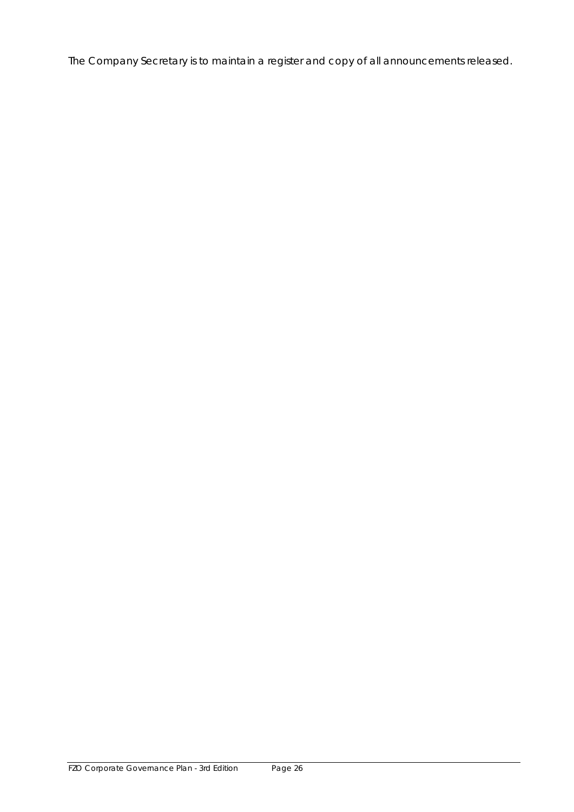The Company Secretary is to maintain a register and copy of all announcements released.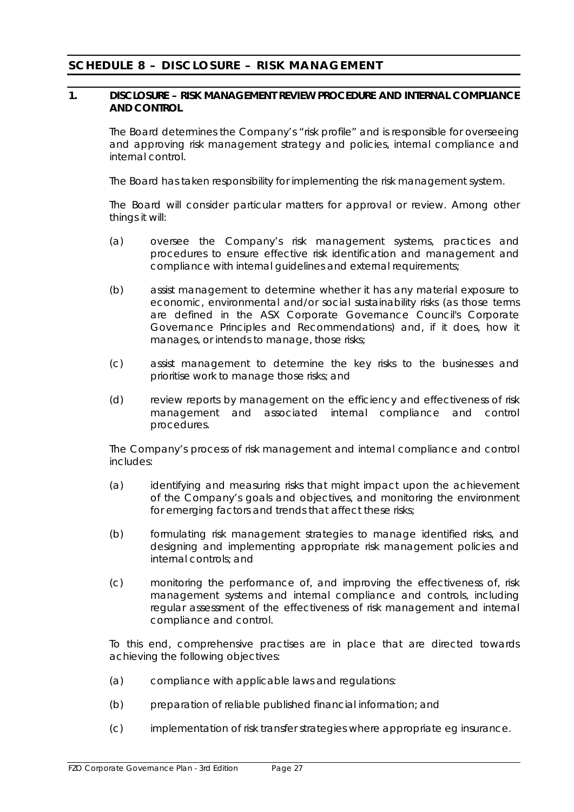# <span id="page-28-0"></span>**SCHEDULE 8 – DISCLOSURE – RISK MANAGEMENT**

### **1. DISCLOSURE – RISK MANAGEMENT REVIEW PROCEDURE AND INTERNAL COMPLIANCE AND CONTROL**

The Board determines the Company's "risk profile" and is responsible for overseeing and approving risk management strategy and policies, internal compliance and internal control.

The Board has taken responsibility for implementing the risk management system.

The Board will consider particular matters for approval or review. Among other things it will:

- (a) oversee the Company's risk management systems, practices and procedures to ensure effective risk identification and management and compliance with internal guidelines and external requirements;
- (b) assist management to determine whether it has any material exposure to economic, environmental and/or social sustainability risks (as those terms are defined in the ASX Corporate Governance Council's *Corporate Governance Principles and Recommendations*) and, if it does, how it manages, or intends to manage, those risks;
- (c) assist management to determine the key risks to the businesses and prioritise work to manage those risks; and
- (d) review reports by management on the efficiency and effectiveness of risk management and associated internal compliance and control procedures.

The Company's process of risk management and internal compliance and control includes:

- (a) identifying and measuring risks that might impact upon the achievement of the Company's goals and objectives, and monitoring the environment for emerging factors and trends that affect these risks;
- (b) formulating risk management strategies to manage identified risks, and designing and implementing appropriate risk management policies and internal controls; and
- (c) monitoring the performance of, and improving the effectiveness of, risk management systems and internal compliance and controls, including regular assessment of the effectiveness of risk management and internal compliance and control.

To this end, comprehensive practises are in place that are directed towards achieving the following objectives:

- (a) compliance with applicable laws and regulations:
- (b) preparation of reliable published financial information; and
- (c) implementation of risk transfer strategies where appropriate eg insurance.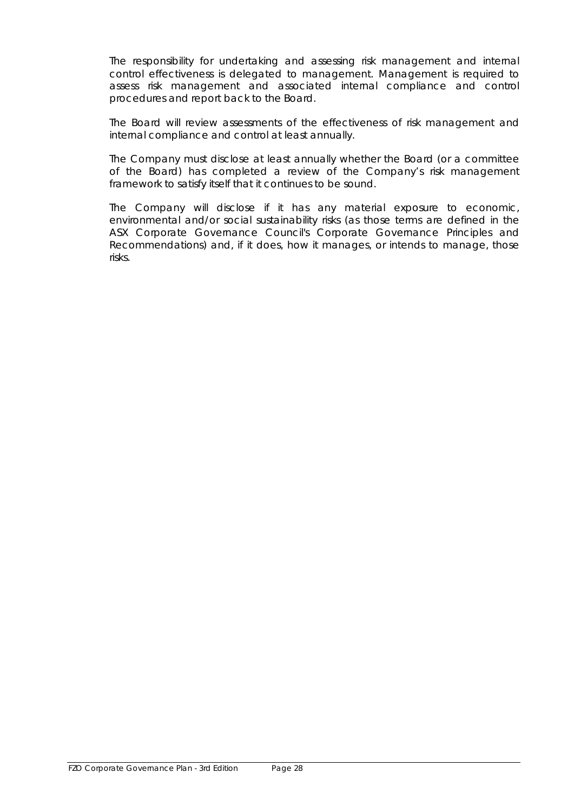The responsibility for undertaking and assessing risk management and internal control effectiveness is delegated to management. Management is required to assess risk management and associated internal compliance and control procedures and report back to the Board.

The Board will review assessments of the effectiveness of risk management and internal compliance and control at least annually.

The Company must disclose at least annually whether the Board (or a committee of the Board) has completed a review of the Company's risk management framework to satisfy itself that it continues to be sound.

The Company will disclose if it has any material exposure to economic, environmental and/or social sustainability risks (as those terms are defined in the ASX Corporate Governance Council's *Corporate Governance Principles and Recommendations*) and, if it does, how it manages, or intends to manage, those risks.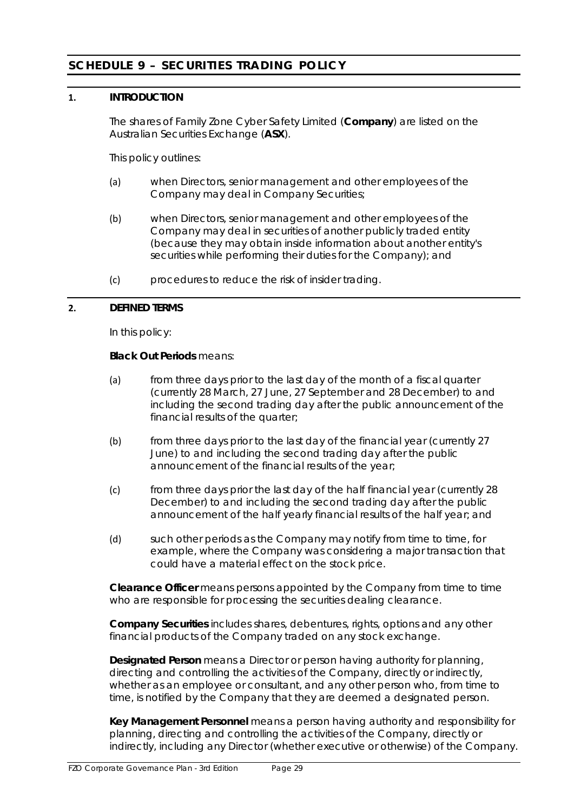# <span id="page-30-0"></span>**SCHEDULE 9 – SECURITIES TRADING POLICY**

## **1. INTRODUCTION**

The shares of Family Zone Cyber Safety Limited (**Company**) are listed on the Australian Securities Exchange (**ASX**).

This policy outlines:

- (a) when Directors, senior management and other employees of the Company may deal in Company Securities;
- (b) when Directors, senior management and other employees of the Company may deal in securities of another publicly traded entity (because they may obtain inside information about another entity's securities while performing their duties for the Company); and
- (c) procedures to reduce the risk of insider trading.

#### **2. DEFINED TERMS**

In this policy:

### **Black Out Periods** means:

- (a) from three days prior to the last day of the month of a fiscal quarter (currently 28 March, 27 June, 27 September and 28 December) to and including the second trading day after the public announcement of the financial results of the quarter;
- (b) from three days prior to the last day of the financial year (currently 27 June) to and including the second trading day after the public announcement of the financial results of the year;
- (c) from three days prior the last day of the half financial year (currently 28 December) to and including the second trading day after the public announcement of the half yearly financial results of the half year; and
- (d) such other periods as the Company may notify from time to time, for example, where the Company was considering a major transaction that could have a material effect on the stock price.

**Clearance Officer** means persons appointed by the Company from time to time who are responsible for processing the securities dealing clearance.

**Company Securities** includes shares, debentures, rights, options and any other financial products of the Company traded on any stock exchange.

**Designated Person** means a Director or person having authority for planning, directing and controlling the activities of the Company, directly or indirectly, whether as an employee or consultant, and any other person who, from time to time, is notified by the Company that they are deemed a designated person.

**Key Management Personnel** means a person having authority and responsibility for planning, directing and controlling the activities of the Company, directly or indirectly, including any Director (whether executive or otherwise) of the Company.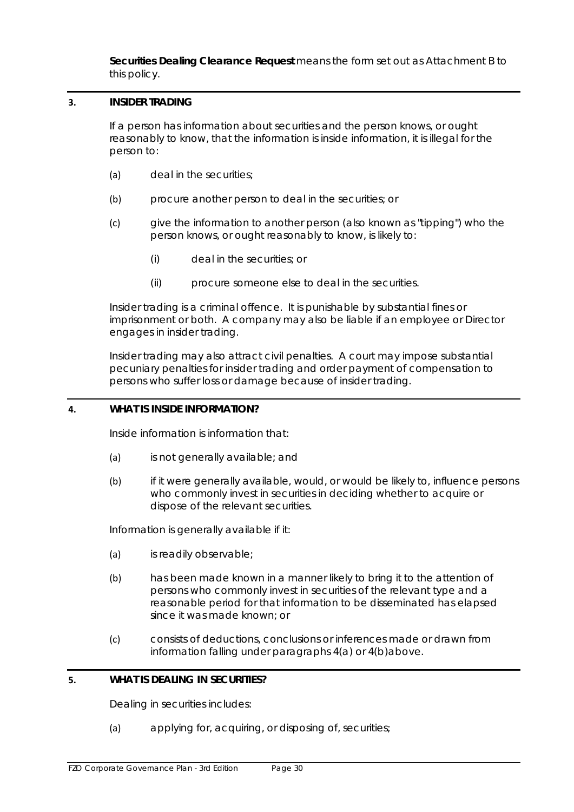**Securities Dealing Clearance Request** means the form set out as Attachment B to this policy.

# **3. INSIDER TRADING**

If a person has information about securities and the person knows, or ought reasonably to know, that the information is inside information, it is illegal for the person to:

- (a) deal in the securities:
- (b) procure another person to deal in the securities; or
- (c) give the information to another person (also known as "tipping") who the person knows, or ought reasonably to know, is likely to:
	- (i) deal in the securities; or
	- (ii) procure someone else to deal in the securities.

Insider trading is a criminal offence. It is punishable by substantial fines or imprisonment or both. A company may also be liable if an employee or Director engages in insider trading.

Insider trading may also attract civil penalties. A court may impose substantial pecuniary penalties for insider trading and order payment of compensation to persons who suffer loss or damage because of insider trading.

#### <span id="page-31-0"></span>**4. WHAT IS INSIDE INFORMATION?**

Inside information is information that:

- <span id="page-31-1"></span>(a) is not generally available; and
- (b) if it were generally available, would, or would be likely to, influence persons who commonly invest in securities in deciding whether to acquire or dispose of the relevant securities.

Information is generally available if it:

- (a) is readily observable;
- (b) has been made known in a manner likely to bring it to the attention of persons who commonly invest in securities of the relevant type and a reasonable period for that information to be disseminated has elapsed since it was made known; or
- (c) consists of deductions, conclusions or inferences made or drawn from information falling under paragraphs [4\(a\)](#page-31-0) or [4\(b\)a](#page-31-1)bove.

# **5. WHAT IS DEALING IN SECURITIES?**

Dealing in securities includes:

(a) applying for, acquiring, or disposing of, securities;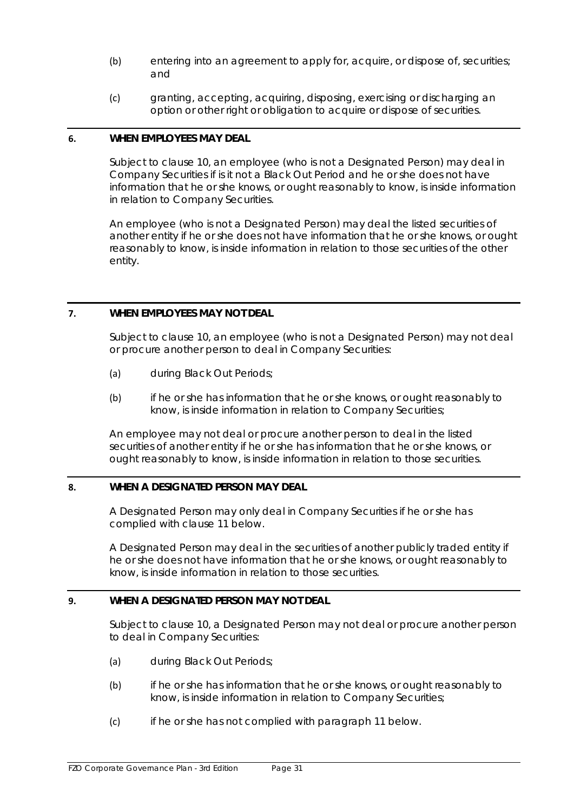- (b) entering into an agreement to apply for, acquire, or dispose of, securities; and
- (c) granting, accepting, acquiring, disposing, exercising or discharging an option or other right or obligation to acquire or dispose of securities.

#### **6. WHEN EMPLOYEES MAY DEAL**

Subject to clause 10, an employee (who is not a Designated Person) may deal in Company Securities if is it not a Black Out Period and he or she does not have information that he or she knows, or ought reasonably to know, is inside information in relation to Company Securities.

An employee (who is not a Designated Person) may deal the listed securities of another entity if he or she does not have information that he or she knows, or ought reasonably to know, is inside information in relation to those securities of the other entity.

# **7. WHEN EMPLOYEES MAY NOT DEAL**

Subject to clause [10,](#page-33-0) an employee (who is not a Designated Person) may not deal or procure another person to deal in Company Securities:

- (a) during Black Out Periods;
- (b) if he or she has information that he or she knows, or ought reasonably to know, is inside information in relation to Company Securities;

An employee may not deal or procure another person to deal in the listed securities of another entity if he or she has information that he or she knows, or ought reasonably to know, is inside information in relation to those securities.

# **8. WHEN A DESIGNATED PERSON MAY DEAL**

A Designated Person may only deal in Company Securities if he or she has complied with clause [11](#page-33-1) below.

A Designated Person may deal in the securities of another publicly traded entity if he or she does not have information that he or she knows, or ought reasonably to know, is inside information in relation to those securities.

# **9. WHEN A DESIGNATED PERSON MAY NOT DEAL**

Subject to clause [10,](#page-33-0) a Designated Person may not deal or procure another person to deal in Company Securities:

- <span id="page-32-2"></span><span id="page-32-0"></span>(a) during Black Out Periods;
- (b) if he or she has information that he or she knows, or ought reasonably to know, is inside information in relation to Company Securities;
- <span id="page-32-1"></span>(c) if he or she has not complied with paragraph 11 below.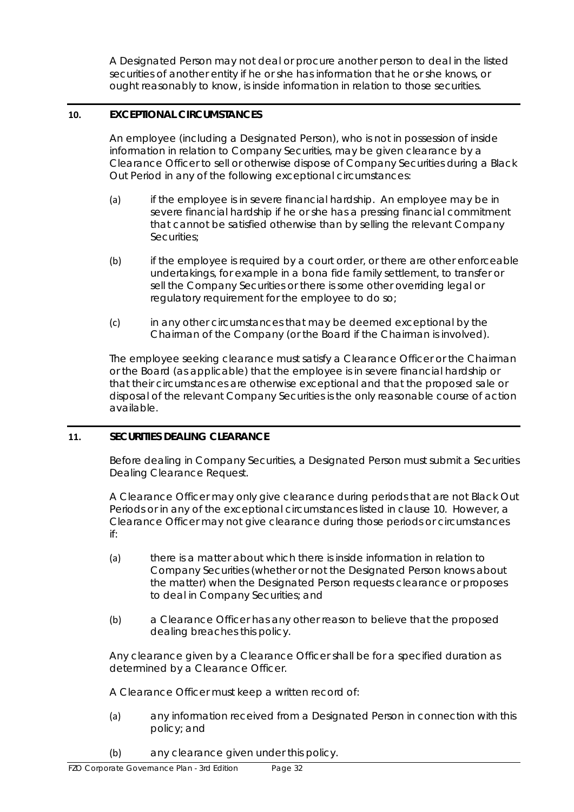A Designated Person may not deal or procure another person to deal in the listed securities of another entity if he or she has information that he or she knows, or ought reasonably to know, is inside information in relation to those securities.

# <span id="page-33-0"></span>**10. EXCEPTIONAL CIRCUMSTANCES**

An employee (including a Designated Person), who is not in possession of inside information in relation to Company Securities, may be given clearance by a Clearance Officer to sell or otherwise dispose of Company Securities during a Black Out Period in any of the following exceptional circumstances:

- (a) if the employee is in severe financial hardship. An employee may be in severe financial hardship if he or she has a pressing financial commitment that cannot be satisfied otherwise than by selling the relevant Company Securities;
- $(b)$  if the employee is required by a court order, or there are other enforceable undertakings, for example in a bona fide family settlement, to transfer or sell the Company Securities or there is some other overriding legal or regulatory requirement for the employee to do so;
- (c) in any other circumstances that may be deemed exceptional by the Chairman of the Company (or the Board if the Chairman is involved).

The employee seeking clearance must satisfy a Clearance Officer or the Chairman or the Board (as applicable) that the employee is in severe financial hardship or that their circumstances are otherwise exceptional and that the proposed sale or disposal of the relevant Company Securities is the only reasonable course of action available.

# <span id="page-33-1"></span>**11. SECURITIES DEALING CLEARANCE**

Before dealing in Company Securities, a Designated Person must submit a Securities Dealing Clearance Request.

A Clearance Officer may only give clearance during periods that are not Black Out Periods or in any of the exceptional circumstances listed in clause [10.](#page-33-0) However, a Clearance Officer may not give clearance during those periods or circumstances if:

- (a) there is a matter about which there is inside information in relation to Company Securities (whether or not the Designated Person knows about the matter) when the Designated Person requests clearance or proposes to deal in Company Securities; and
- (b) a Clearance Officer has any other reason to believe that the proposed dealing breaches this policy.

Any clearance given by a Clearance Officer shall be for a specified duration as determined by a Clearance Officer.

A Clearance Officer must keep a written record of:

- (a) any information received from a Designated Person in connection with this policy; and
- (b) any clearance given under this policy.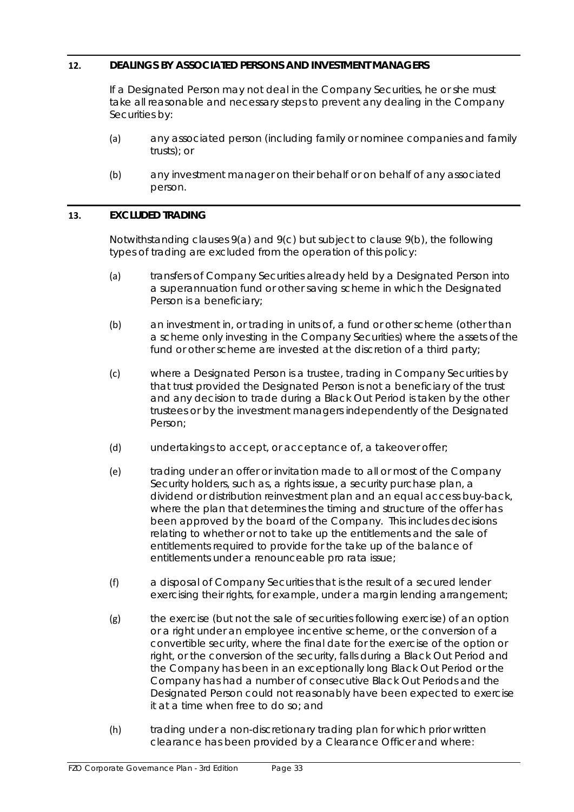# **12. DEALINGS BY ASSOCIATED PERSONS AND INVESTMENT MANAGERS**

If a Designated Person may not deal in the Company Securities, he or she must take all reasonable and necessary steps to prevent any dealing in the Company Securities by:

- (a) any associated person (including family or nominee companies and family trusts); or
- (b) any investment manager on their behalf or on behalf of any associated person.

#### **13. EXCLUDED TRADING**

Notwithstanding clauses [9\(a\)](#page-32-0) and [9\(c\)](#page-32-1) but subject to claus[e 9\(b\),](#page-32-2) the following types of trading are excluded from the operation of this policy:

- (a) transfers of Company Securities already held by a Designated Person into a superannuation fund or other saving scheme in which the Designated Person is a beneficiary;
- (b) an investment in, or trading in units of, a fund or other scheme (other than a scheme only investing in the Company Securities) where the assets of the fund or other scheme are invested at the discretion of a third party;
- (c) where a Designated Person is a trustee, trading in Company Securities by that trust provided the Designated Person is not a beneficiary of the trust and any decision to trade during a Black Out Period is taken by the other trustees or by the investment managers independently of the Designated Person;
- (d) undertakings to accept, or acceptance of, a takeover offer;
- (e) trading under an offer or invitation made to all or most of the Company Security holders, such as, a rights issue, a security purchase plan, a dividend or distribution reinvestment plan and an equal access buy-back, where the plan that determines the timing and structure of the offer has been approved by the board of the Company. This includes decisions relating to whether or not to take up the entitlements and the sale of entitlements required to provide for the take up of the balance of entitlements under a renounceable pro rata issue;
- (f) a disposal of Company Securities that is the result of a secured lender exercising their rights, for example, under a margin lending arrangement;
- (g) the exercise (but not the sale of securities following exercise) of an option or a right under an employee incentive scheme, or the conversion of a convertible security, where the final date for the exercise of the option or right, or the conversion of the security, falls during a Black Out Period and the Company has been in an exceptionally long Black Out Period or the Company has had a number of consecutive Black Out Periods and the Designated Person could not reasonably have been expected to exercise it at a time when free to do so; and
- (h) trading under a non-discretionary trading plan for which prior written clearance has been provided by a Clearance Officer and where: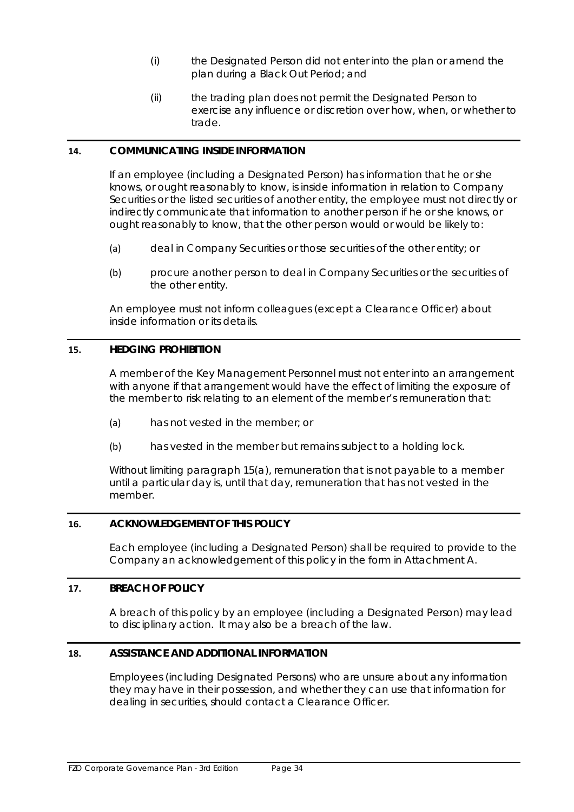- (i) the Designated Person did not enter into the plan or amend the plan during a Black Out Period; and
- (ii) the trading plan does not permit the Designated Person to exercise any influence or discretion over how, when, or whether to trade.

# **14. COMMUNICATING INSIDE INFORMATION**

If an employee (including a Designated Person) has information that he or she knows, or ought reasonably to know, is inside information in relation to Company Securities or the listed securities of another entity, the employee must not directly or indirectly communicate that information to another person if he or she knows, or ought reasonably to know, that the other person would or would be likely to:

- (a) deal in Company Securities or those securities of the other entity; or
- (b) procure another person to deal in Company Securities or the securities of the other entity.

An employee must not inform colleagues (except a Clearance Officer) about inside information or its details.

# **15. HEDGING PROHIBITION**

A member of the Key Management Personnel must not enter into an arrangement with anyone if that arrangement would have the effect of limiting the exposure of the member to risk relating to an element of the member's remuneration that:

- <span id="page-35-0"></span>(a) has not vested in the member; or
- (b) has vested in the member but remains subject to a holding lock.

Without limiting paragraph [15\(a\),](#page-35-0) remuneration that is not payable to a member until a particular day is, until that day, remuneration that has not vested in the member.

# **16. ACKNOWLEDGEMENT OF THIS POLICY**

Each employee (including a Designated Person) shall be required to provide to the Company an acknowledgement of this policy in the form in Attachment A.

#### **17. BREACH OF POLICY**

A breach of this policy by an employee (including a Designated Person) may lead to disciplinary action. It may also be a breach of the law.

#### **18. ASSISTANCE AND ADDITIONAL INFORMATION**

Employees (including Designated Persons) who are unsure about any information they may have in their possession, and whether they can use that information for dealing in securities, should contact a Clearance Officer.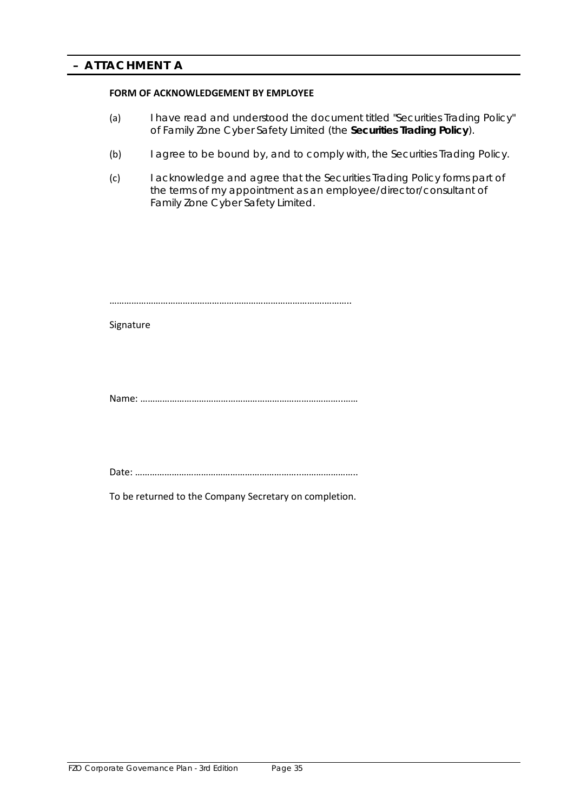#### **FORM OF ACKNOWLEDGEMENT BY EMPLOYEE**

- (a) I have read and understood the document titled "Securities Trading Policy" of Family Zone Cyber Safety Limited (the **Securities Trading Policy**).
- (b) I agree to be bound by, and to comply with, the Securities Trading Policy.
- (c) I acknowledge and agree that the Securities Trading Policy forms part of the terms of my appointment as an employee/director/consultant of Family Zone Cyber Safety Limited.

…………………………………………………………………………….………..

Signature

Name: ………………………………………………………………………..……

Date: …………………………………………………………..…………………..

To be returned to the Company Secretary on completion.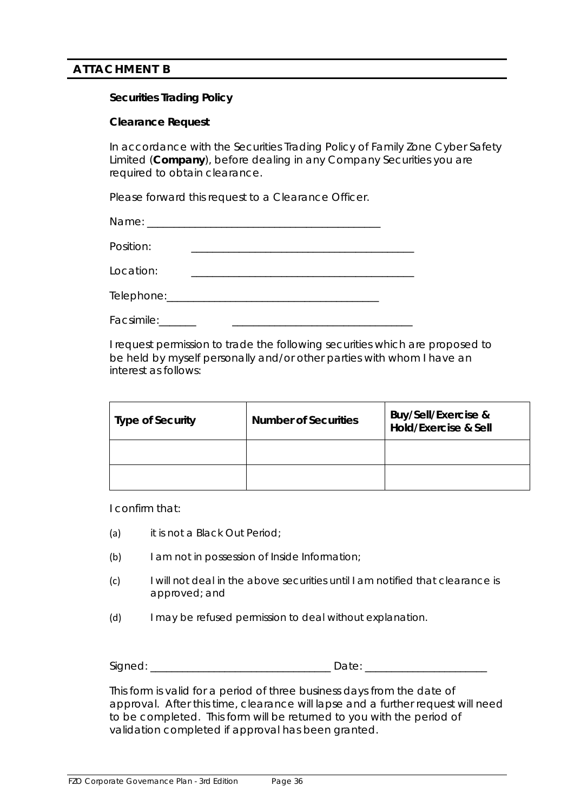# **ATTACHMENT B**

# **Securities Trading Policy**

# **Clearance Request**

In accordance with the Securities Trading Policy of Family Zone Cyber Safety Limited (**Company**), before dealing in any Company Securities you are required to obtain clearance.

Please forward this request to a Clearance Officer.

Name: \_\_\_\_\_\_\_\_\_\_\_\_\_\_\_\_\_\_\_\_\_\_\_\_\_\_\_\_\_\_\_\_\_\_\_\_\_\_\_\_\_\_\_\_

Position:

Location:

Telephone:\_\_\_\_\_\_\_\_\_\_\_\_\_\_\_\_\_\_\_\_\_\_\_\_\_\_\_\_\_\_\_\_\_\_\_\_\_\_\_\_

Facsimile:

I request permission to trade the following securities which are proposed to be held by myself personally and/or other parties with whom I have an interest as follows:

| <b>Type of Security</b> | <b>Number of Securities</b> | <b>Buy/Sell/Exercise &amp;</b><br>Hold/Exercise & Sell |
|-------------------------|-----------------------------|--------------------------------------------------------|
|                         |                             |                                                        |
|                         |                             |                                                        |

I confirm that:

- (a) it is not a Black Out Period;
- (b) I am not in possession of Inside Information;
- (c) I will not deal in the above securities until I am notified that clearance is approved; and
- (d) I may be refused permission to deal without explanation.

| ``<br>יי<br>.<br>-<br>$\sim$ | $\sim$ |  |
|------------------------------|--------|--|
|------------------------------|--------|--|

This form is valid for a period of three business days from the date of approval. After this time, clearance will lapse and a further request will need to be completed. This form will be returned to you with the period of validation completed if approval has been granted.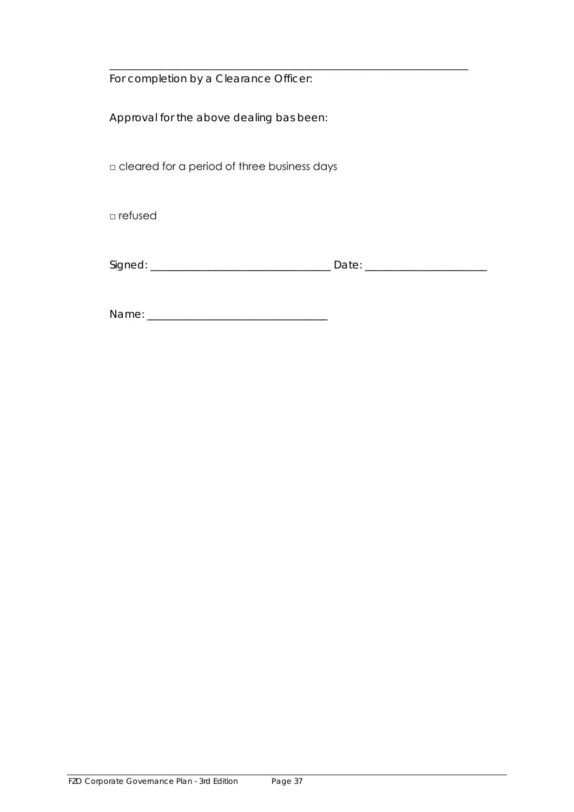For completion by a Clearance Officer:

Approval for the above dealing bas been:

□ cleared for a period of three business days

□ refused

| $\sim$<br>$\sum$<br>$\sim$ |  |
|----------------------------|--|
|                            |  |

\_\_\_\_\_\_\_\_\_\_\_\_\_\_\_\_\_\_\_\_\_\_\_\_\_\_\_\_\_\_\_\_\_\_\_\_\_\_\_\_\_\_\_\_\_\_\_\_\_\_\_\_\_\_\_\_\_\_\_\_\_\_\_\_\_\_\_\_

Name: \_\_\_\_\_\_\_\_\_\_\_\_\_\_\_\_\_\_\_\_\_\_\_\_\_\_\_\_\_\_\_\_\_\_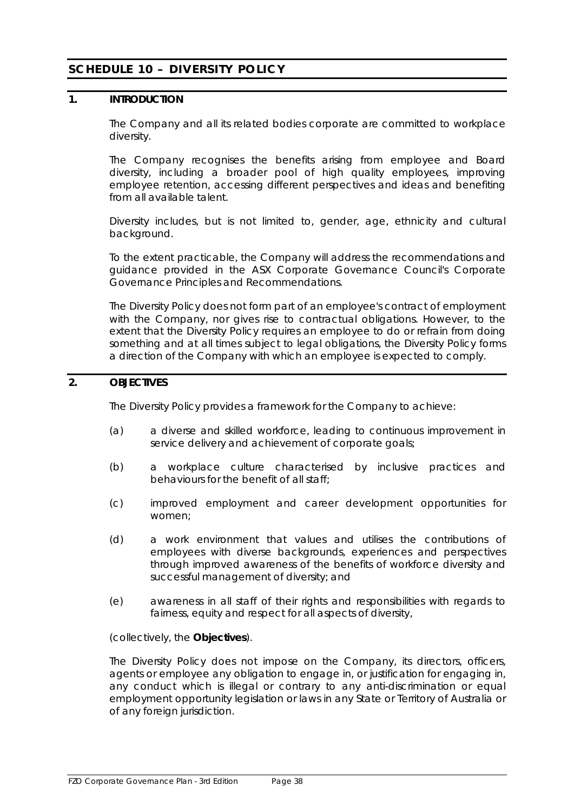# <span id="page-39-0"></span>**SCHEDULE 10 – DIVERSITY POLICY**

# **1. INTRODUCTION**

The Company and all its related bodies corporate are committed to workplace diversity.

The Company recognises the benefits arising from employee and Board diversity, including a broader pool of high quality employees, improving employee retention, accessing different perspectives and ideas and benefiting from all available talent.

Diversity includes, but is not limited to, gender, age, ethnicity and cultural background.

To the extent practicable, the Company will address the recommendations and guidance provided in the ASX Corporate Governance Council's *Corporate Governance Principles and Recommendations*.

The Diversity Policy does not form part of an employee's contract of employment with the Company, nor gives rise to contractual obligations. However, to the extent that the Diversity Policy requires an employee to do or refrain from doing something and at all times subject to legal obligations, the Diversity Policy forms a direction of the Company with which an employee is expected to comply.

# **2. OBJECTIVES**

The Diversity Policy provides a framework for the Company to achieve:

- (a) a diverse and skilled workforce, leading to continuous improvement in service delivery and achievement of corporate goals;
- (b) a workplace culture characterised by inclusive practices and behaviours for the benefit of all staff;
- (c) improved employment and career development opportunities for women;
- (d) a work environment that values and utilises the contributions of employees with diverse backgrounds, experiences and perspectives through improved awareness of the benefits of workforce diversity and successful management of diversity; and
- (e) awareness in all staff of their rights and responsibilities with regards to fairness, equity and respect for all aspects of diversity,

(collectively, the **Objectives**).

The Diversity Policy does not impose on the Company, its directors, officers, agents or employee any obligation to engage in, or justification for engaging in, any conduct which is illegal or contrary to any anti-discrimination or equal employment opportunity legislation or laws in any State or Territory of Australia or of any foreign jurisdiction.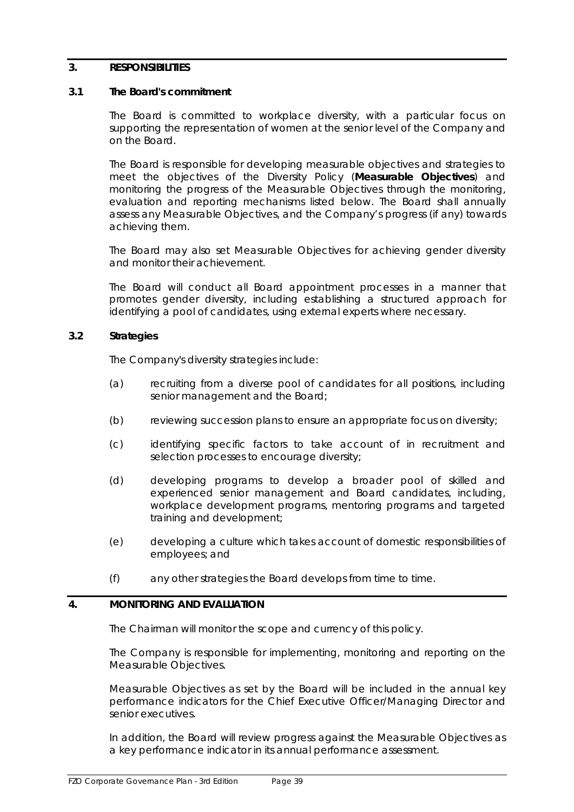# **3. RESPONSIBILITIES**

# **3.1 The Board's commitment**

The Board is committed to workplace diversity, with a particular focus on supporting the representation of women at the senior level of the Company and on the Board.

The Board is responsible for developing measurable objectives and strategies to meet the objectives of the Diversity Policy (**Measurable Objectives**) and monitoring the progress of the Measurable Objectives through the monitoring, evaluation and reporting mechanisms listed below. The Board shall annually assess any Measurable Objectives, and the Company's progress (if any) towards achieving them.

The Board may also set Measurable Objectives for achieving gender diversity and monitor their achievement.

The Board will conduct all Board appointment processes in a manner that promotes gender diversity, including establishing a structured approach for identifying a pool of candidates, using external experts where necessary.

#### **3.2 Strategies**

The Company's diversity strategies include:

- (a) recruiting from a diverse pool of candidates for all positions, including senior management and the Board;
- (b) reviewing succession plans to ensure an appropriate focus on diversity;
- (c) identifying specific factors to take account of in recruitment and selection processes to encourage diversity;
- (d) developing programs to develop a broader pool of skilled and experienced senior management and Board candidates, including, workplace development programs, mentoring programs and targeted training and development;
- (e) developing a culture which takes account of domestic responsibilities of employees; and
- (f) any other strategies the Board develops from time to time.

# **4. MONITORING AND EVALUATION**

The Chairman will monitor the scope and currency of this policy.

The Company is responsible for implementing, monitoring and reporting on the Measurable Objectives.

Measurable Objectives as set by the Board will be included in the annual key performance indicators for the Chief Executive Officer/Managing Director and senior executives.

In addition, the Board will review progress against the Measurable Objectives as a key performance indicator in its annual performance assessment.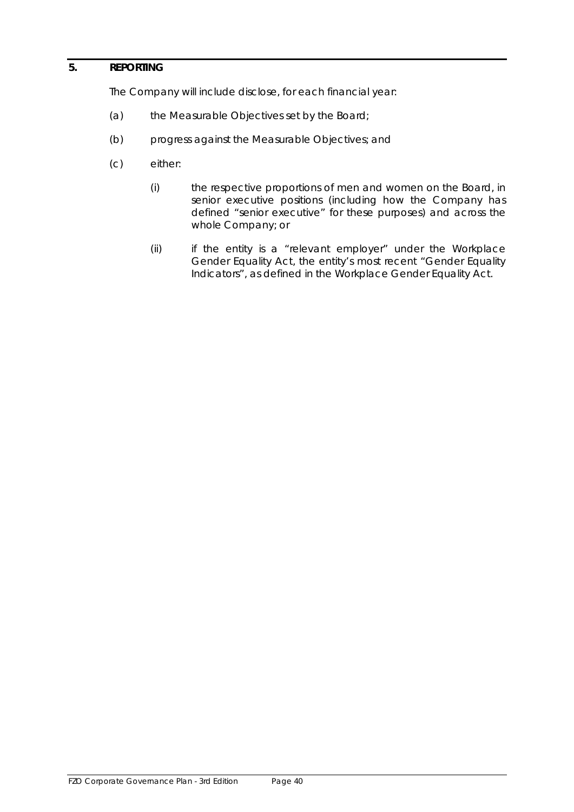# **5. REPORTING**

The Company will include disclose, for each financial year:

- (a) the Measurable Objectives set by the Board;
- (b) progress against the Measurable Objectives; and
- (c) either:
	- (i) the respective proportions of men and women on the Board, in senior executive positions (including how the Company has defined "senior executive" for these purposes) and across the whole Company; or
	- (ii) if the entity is a "relevant employer" under the Workplace Gender Equality Act, the entity's most recent "Gender Equality Indicators", as defined in the Workplace Gender Equality Act.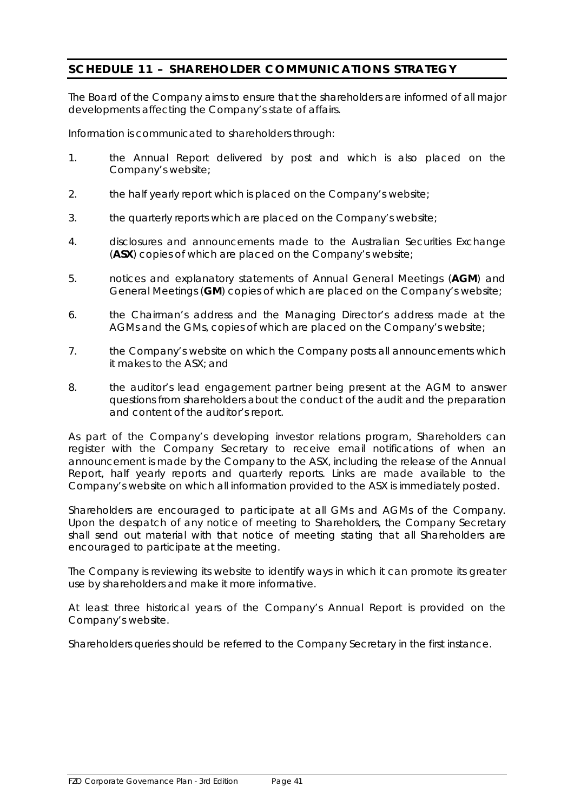# <span id="page-42-0"></span>**SCHEDULE 11 – SHAREHOLDER COMMUNICATIONS STRATEGY**

The Board of the Company aims to ensure that the shareholders are informed of all major developments affecting the Company's state of affairs.

Information is communicated to shareholders through:

- 1. the Annual Report delivered by post and which is also placed on the Company's website;
- 2. the half yearly report which is placed on the Company's website;
- 3. the quarterly reports which are placed on the Company's website;
- 4. disclosures and announcements made to the Australian Securities Exchange (**ASX**) copies of which are placed on the Company's website;
- 5. notices and explanatory statements of Annual General Meetings (**AGM**) and General Meetings (**GM**) copies of which are placed on the Company's website;
- 6. the Chairman's address and the Managing Director's address made at the AGMs and the GMs, copies of which are placed on the Company's website;
- 7. the Company's website on which the Company posts all announcements which it makes to the ASX; and
- 8. the auditor's lead engagement partner being present at the AGM to answer questions from shareholders about the conduct of the audit and the preparation and content of the auditor's report.

As part of the Company's developing investor relations program, Shareholders can register with the Company Secretary to receive email notifications of when an announcement is made by the Company to the ASX, including the release of the Annual Report, half yearly reports and quarterly reports. Links are made available to the Company's website on which all information provided to the ASX is immediately posted.

Shareholders are encouraged to participate at all GMs and AGMs of the Company. Upon the despatch of any notice of meeting to Shareholders, the Company Secretary shall send out material with that notice of meeting stating that all Shareholders are encouraged to participate at the meeting.

The Company is reviewing its website to identify ways in which it can promote its greater use by shareholders and make it more informative.

At least three historical years of the Company's Annual Report is provided on the Company's website.

Shareholders queries should be referred to the Company Secretary in the first instance.